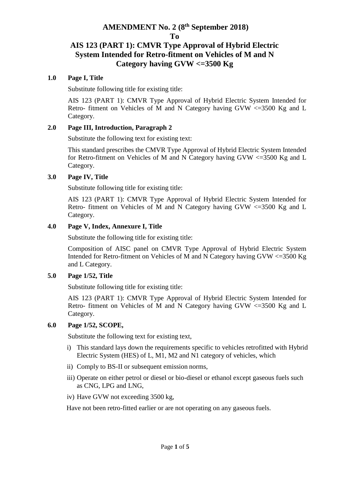# **AMENDMENT No. 2 (8 th September 2018) To**

# **AIS 123 (PART 1): CMVR Type Approval of Hybrid Electric System Intended for Retro-fitment on Vehicles of M and N Category having GVW <=3500 Kg**

#### **1.0 Page I, Title**

Substitute following title for existing title:

AIS 123 (PART 1): CMVR Type Approval of Hybrid Electric System Intended for Retro- fitment on Vehicles of M and N Category having GVW <=3500 Kg and L Category.

# **2.0 Page III, Introduction, Paragraph 2**

Substitute the following text for existing text:

This standard prescribes the CMVR Type Approval of Hybrid Electric System Intended for Retro-fitment on Vehicles of M and N Category having GVW <=3500 Kg and L Category.

#### **3.0 Page IV, Title**

Substitute following title for existing title:

AIS 123 (PART 1): CMVR Type Approval of Hybrid Electric System Intended for Retro- fitment on Vehicles of M and N Category having GVW <=3500 Kg and L Category.

#### **4.0 Page V, Index, Annexure I, Title**

Substitute the following title for existing title:

Composition of AISC panel on CMVR Type Approval of Hybrid Electric System Intended for Retro-fitment on Vehicles of M and N Category having GVW <=3500 Kg and L Category.

# **5.0 Page 1/52, Title**

Substitute following title for existing title:

AIS 123 (PART 1): CMVR Type Approval of Hybrid Electric System Intended for Retro- fitment on Vehicles of M and N Category having GVW <=3500 Kg and L Category.

# **6.0 Page 1/52, SCOPE,**

Substitute the following text for existing text,

- i) This standard lays down the requirements specific to vehicles retrofitted with Hybrid Electric System (HES) of L, M1, M2 and N1 category of vehicles, which
- ii) Comply to BS-II or subsequent emission norms,
- iii) Operate on either petrol or diesel or bio-diesel or ethanol except gaseous fuels such as CNG, LPG and LNG,
- iv) Have GVW not exceeding 3500 kg,

Have not been retro-fitted earlier or are not operating on any gaseous fuels.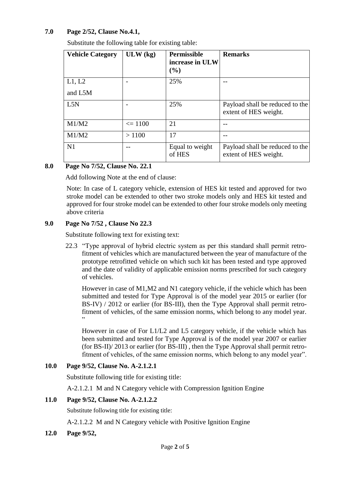# **7.0 Page 2/52, Clause No.4.1,**

Substitute the following table for existing table:

| <b>Vehicle Category</b> | $ULW$ (kg)  | <b>Permissible</b><br>increase in ULW<br>(%) | <b>Remarks</b>                                           |
|-------------------------|-------------|----------------------------------------------|----------------------------------------------------------|
| L1, L2                  |             | 25%                                          |                                                          |
| and L5M                 |             |                                              |                                                          |
| L5N                     |             | 25%                                          | Payload shall be reduced to the<br>extent of HES weight. |
| M1/M2                   | $\leq 1100$ | 21                                           |                                                          |
| M1/M2                   | >1100       | 17                                           |                                                          |
| N1                      |             | Equal to weight<br>of HES                    | Payload shall be reduced to the<br>extent of HES weight. |

# **8.0 Page No 7/52, Clause No. 22.1**

Add following Note at the end of clause:

Note: In case of L category vehicle, extension of HES kit tested and approved for two stroke model can be extended to other two stroke models only and HES kit tested and approved for four stroke model can be extended to other four stroke models only meeting above criteria

# **9.0 Page No 7/52 , Clause No 22.3**

Substitute following text for existing text:

22.3 "Type approval of hybrid electric system as per this standard shall permit retrofitment of vehicles which are manufactured between the year of manufacture of the prototype retrofitted vehicle on which such kit has been tested and type approved and the date of validity of applicable emission norms prescribed for such category of vehicles.

However in case of M1,M2 and N1 category vehicle, if the vehicle which has been submitted and tested for Type Approval is of the model year 2015 or earlier (for BS-IV) / 2012 or earlier (for BS-III), then the Type Approval shall permit retrofitment of vehicles, of the same emission norms, which belong to any model year. "

However in case of For L1/L2 and L5 category vehicle, if the vehicle which has been submitted and tested for Type Approval is of the model year 2007 or earlier (for BS-II)/ 2013 or earlier (for BS-III) , then the Type Approval shall permit retrofitment of vehicles, of the same emission norms, which belong to any model year".

# **10.0 Page 9/52, Clause No. A-2.1.2.1**

Substitute following title for existing title:

A-2.1.2.1 M and N Category vehicle with Compression Ignition Engine

#### **11.0 Page 9/52, Clause No. A-2.1.2.2**

Substitute following title for existing title:

A-2.1.2.2 M and N Category vehicle with Positive Ignition Engine

**12.0 Page 9/52,**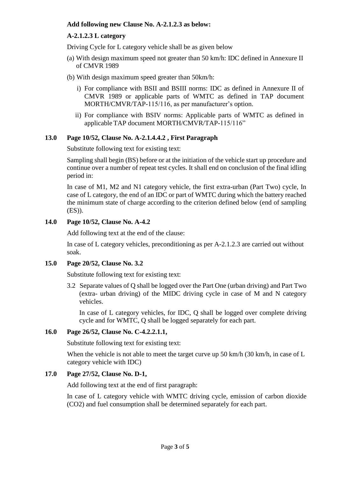#### **Add following new Clause No. A-2.1.2.3 as below:**

#### **A-2.1.2.3 L category**

Driving Cycle for L category vehicle shall be as given below

- (a) With design maximum speed not greater than 50 km/h: IDC defined in Annexure II of CMVR 1989
- (b) With design maximum speed greater than 50km/h:
	- i) For compliance with BSII and BSIII norms: IDC as defined in Annexure II of CMVR 1989 or applicable parts of WMTC as defined in TAP document MORTH/CMVR/TAP-115/116, as per manufacturer's option.
	- ii) For compliance with BSIV norms: Applicable parts of WMTC as defined in applicable TAP document MORTH/CMVR/TAP-115/116"

#### **13.0 Page 10/52, Clause No. A-2.1.4.4.2 , First Paragraph**

Substitute following text for existing text:

Sampling shall begin (BS) before or at the initiation of the vehicle start up procedure and continue over a number of repeat test cycles. It shall end on conclusion of the final idling period in:

In case of M1, M2 and N1 category vehicle, the first extra-urban (Part Two) cycle, In case of L category, the end of an IDC or part of WMTC during which the battery reached the minimum state of charge according to the criterion defined below (end of sampling (ES)).

#### **14.0 Page 10/52, Clause No. A-4.2**

Add following text at the end of the clause:

In case of L category vehicles, preconditioning as per A-2.1.2.3 are carried out without soak.

# **15.0 Page 20/52, Clause No. 3.2**

Substitute following text for existing text:

3.2 Separate values of Q shall be logged over the Part One (urban driving) and Part Two (extra- urban driving) of the MIDC driving cycle in case of M and N category vehicles.

In case of L category vehicles, for IDC, Q shall be logged over complete driving cycle and for WMTC, Q shall be logged separately for each part.

#### **16.0 Page 26/52, Clause No. C-4.2.2.1.1,**

Substitute following text for existing text:

When the vehicle is not able to meet the target curve up 50 km/h (30 km/h, in case of L category vehicle with IDC)

#### **17.0 Page 27/52, Clause No. D-1,**

Add following text at the end of first paragraph:

In case of L category vehicle with WMTC driving cycle, emission of carbon dioxide (CO2) and fuel consumption shall be determined separately for each part.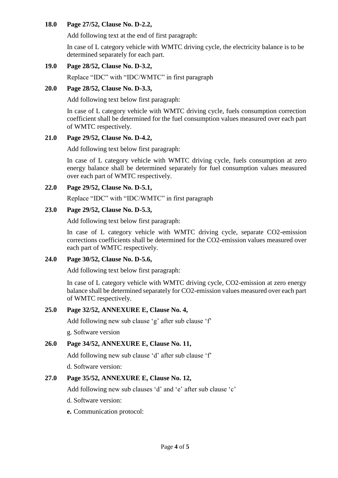#### **18.0 Page 27/52, Clause No. D-2.2,**

Add following text at the end of first paragraph:

In case of L category vehicle with WMTC driving cycle, the electricity balance is to be determined separately for each part.

# **19.0 Page 28/52, Clause No. D-3.2,**

Replace "IDC" with "IDC/WMTC" in first paragraph

# **20.0 Page 28/52, Clause No. D-3.3,**

Add following text below first paragraph:

In case of L category vehicle with WMTC driving cycle, fuels consumption correction coefficient shall be determined for the fuel consumption values measured over each part of WMTC respectively.

# **21.0 Page 29/52, Clause No. D-4.2,**

Add following text below first paragraph:

In case of L category vehicle with WMTC driving cycle, fuels consumption at zero energy balance shall be determined separately for fuel consumption values measured over each part of WMTC respectively.

# **22.0 Page 29/52, Clause No. D-5.1,**

Replace "IDC" with "IDC/WMTC" in first paragraph

# **23.0 Page 29/52, Clause No. D-5.3,**

Add following text below first paragraph:

In case of L category vehicle with WMTC driving cycle, separate CO2-emission corrections coefficients shall be determined for the CO2-emission values measured over each part of WMTC respectively.

# **24.0 Page 30/52, Clause No. D-5.6,**

Add following text below first paragraph:

In case of L category vehicle with WMTC driving cycle, CO2-emission at zero energy balance shall be determined separately for CO2-emission values measured over each part of WMTC respectively.

# **25.0 Page 32/52, ANNEXURE E, Clause No. 4,**

Add following new sub clause 'g' after sub clause 'f'

g. Software version

# **26.0 Page 34/52, ANNEXURE E, Clause No. 11,**

Add following new sub clause 'd' after sub clause 'f'

d. Software version:

# **27.0 Page 35/52, ANNEXURE E, Clause No. 12,**

Add following new sub clauses 'd' and 'e' after sub clause 'c'

- d. Software version:
- **e.** Communication protocol: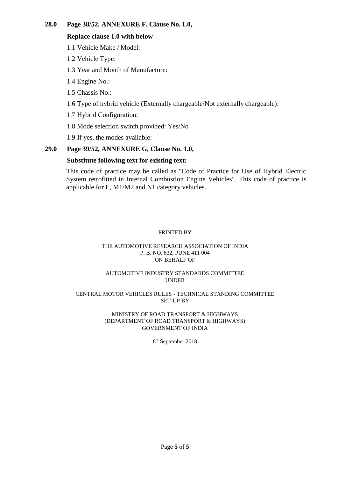# **28.0 Page 38/52, ANNEXURE F, Clause No. 1.0,**

#### **Replace clause 1.0 with below**

1.1 Vehicle Make / Model:

1.2 Vehicle Type:

1.3 Year and Month of Manufacture:

1.4 Engine No.:

1.5 Chassis No.:

1.6 Type of hybrid vehicle (Externally chargeable/Not externally chargeable):

1.7 Hybrid Configuration:

1.8 Mode selection switch provided: Yes/No

1.9 If yes, the modes available:

# **29.0 Page 39/52, ANNEXURE G, Clause No. 1.0,**

# **Substitute following text for existing text:**

This code of practice may be called as "Code of Practice for Use of Hybrid Electric System retrofitted in Internal Combustion Engine Vehicles". This code of practice is applicable for L, M1/M2 and N1 category vehicles.

#### PRINTED BY

#### THE AUTOMOTIVE RESEARCH ASSOCIATION OF INDIA P. B. NO. 832, PUNE 411 004 ON BEHALF OF

#### AUTOMOTIVE INDUSTRY STANDARDS COMMITTEE UNDER

#### CENTRAL MOTOR VEHICLES RULES - TECHNICAL STANDING COMMITTEE SET-UP BY

#### MINISTRY OF ROAD TRANSPORT & HIGHWAYS (DEPARTMENT OF ROAD TRANSPORT & HIGHWAYS) GOVERNMENT OF INDIA

8 th September 2018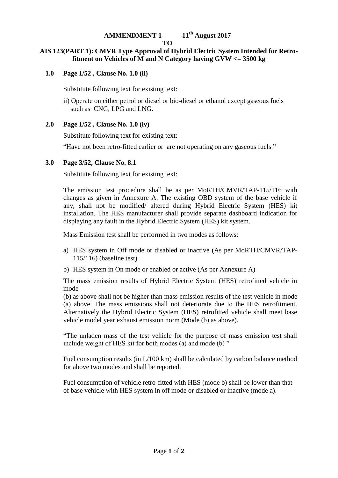# **AMMENDMENT 1 11th August 2017**

#### **TO**

# **AIS 123(PART 1): CMVR Type Approval of Hybrid Electric System Intended for Retrofitment on Vehicles of M and N Category having GVW <= 3500 kg**

**1.0 Page 1/52 , Clause No. 1.0 (ii)**

Substitute following text for existing text:

ii) Operate on either petrol or diesel or bio-diesel or ethanol except gaseous fuels such as CNG, LPG and LNG.

# **2.0 Page 1/52 , Clause No. 1.0 (iv)**

Substitute following text for existing text:

"Have not been retro-fitted earlier or are not operating on any gaseous fuels."

#### **3.0 Page 3/52, Clause No. 8.1**

Substitute following text for existing text:

The emission test procedure shall be as per MoRTH/CMVR/TAP-115/116 with changes as given in Annexure A. The existing OBD system of the base vehicle if any, shall not be modified/ altered during Hybrid Electric System (HES) kit installation. The HES manufacturer shall provide separate dashboard indication for displaying any fault in the Hybrid Electric System (HES) kit system.

Mass Emission test shall be performed in two modes as follows:

- a) HES system in Off mode or disabled or inactive (As per MoRTH/CMVR/TAP-115/116) (baseline test)
- b) HES system in On mode or enabled or active (As per Annexure A)

The mass emission results of Hybrid Electric System (HES) retrofitted vehicle in mode

(b) as above shall not be higher than mass emission results of the test vehicle in mode (a) above. The mass emissions shall not deteriorate due to the HES retrofitment. Alternatively the Hybrid Electric System (HES) retrofitted vehicle shall meet base vehicle model year exhaust emission norm (Mode (b) as above).

"The unladen mass of the test vehicle for the purpose of mass emission test shall include weight of HES kit for both modes (a) and mode (b) "

Fuel consumption results (in L/100 km) shall be calculated by carbon balance method for above two modes and shall be reported.

Fuel consumption of vehicle retro-fitted with HES (mode b) shall be lower than that of base vehicle with HES system in off mode or disabled or inactive (mode a).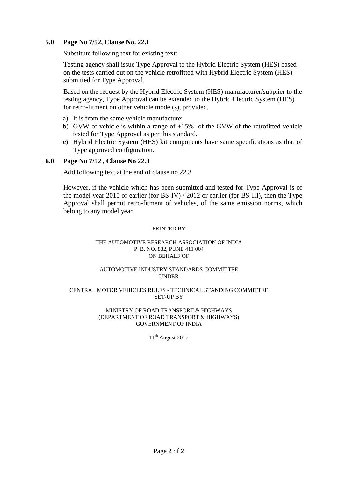# **5.0 Page No 7/52, Clause No. 22.1**

Substitute following text for existing text:

Testing agency shall issue Type Approval to the Hybrid Electric System (HES) based on the tests carried out on the vehicle retrofitted with Hybrid Electric System (HES) submitted for Type Approval.

Based on the request by the Hybrid Electric System (HES) manufacturer/supplier to the testing agency, Type Approval can be extended to the Hybrid Electric System (HES) for retro-fitment on other vehicle model(s), provided,

- a) It is from the same vehicle manufacturer
- b) GVW of vehicle is within a range of  $\pm 15\%$  of the GVW of the retrofitted vehicle tested for Type Approval as per this standard.
- **c)** Hybrid Electric System (HES) kit components have same specifications as that of Type approved configuration.

#### **6.0 Page No 7/52 , Clause No 22.3**

Add following text at the end of clause no 22.3

However, if the vehicle which has been submitted and tested for Type Approval is of the model year 2015 or earlier (for BS-IV) / 2012 or earlier (for BS-III), then the Type Approval shall permit retro-fitment of vehicles, of the same emission norms, which belong to any model year.

#### PRINTED BY

#### THE AUTOMOTIVE RESEARCH ASSOCIATION OF INDIA P. B. NO. 832, PUNE 411 004 ON BEHALF OF

#### AUTOMOTIVE INDUSTRY STANDARDS COMMITTEE UNDER

#### CENTRAL MOTOR VEHICLES RULES - TECHNICAL STANDING COMMITTEE SET-UP BY

#### MINISTRY OF ROAD TRANSPORT & HIGHWAYS (DEPARTMENT OF ROAD TRANSPORT & HIGHWAYS) GOVERNMENT OF INDIA

 $11<sup>th</sup>$  August 2017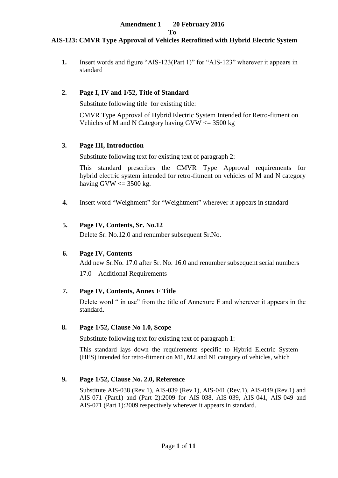# **AIS-123: CMVR Type Approval of Vehicles Retrofitted with Hybrid Electric System**

**1.** Insert words and figure "AIS-123(Part 1)" for "AIS-123" wherever it appears in standard

#### **2. Page I, IV and 1/52, Title of Standard**

Substitute following title for existing title:

CMVR Type Approval of Hybrid Electric System Intended for Retro-fitment on Vehicles of M and N Category having  $GVW \le 3500$  kg

#### **3. Page III, Introduction**

Substitute following text for existing text of paragraph 2:

This standard prescribes the CMVR Type Approval requirements for hybrid electric system intended for retro-fitment on vehicles of M and N category having GVW  $\leq$  3500 kg.

**4.** Insert word "Weighment" for "Weightment" wherever it appears in standard

#### **5. Page IV, Contents, Sr. No.12**

Delete Sr. No.12.0 and renumber subsequent Sr.No.

# **6. Page IV, Contents**

Add new Sr.No. 17.0 after Sr. No. 16.0 and renumber subsequent serial numbers

17.0 Additional Requirements

# **7. Page IV, Contents, Annex F Title**

Delete word " in use" from the title of Annexure F and wherever it appears in the standard.

#### **8. Page 1/52, Clause No 1.0, Scope**

Substitute following text for existing text of paragraph 1:

This standard lays down the requirements specific to Hybrid Electric System (HES) intended for retro-fitment on M1, M2 and N1 category of vehicles, which

# **9. Page 1/52, Clause No. 2.0, Reference**

Substitute AIS-038 (Rev 1), AIS-039 (Rev.1), AIS-041 (Rev.1), AIS-049 (Rev.1) and AIS-071 (Part1) and (Part 2):2009 for AIS-038, AIS-039, AIS-041, AIS-049 and AIS-071 (Part 1):2009 respectively wherever it appears in standard.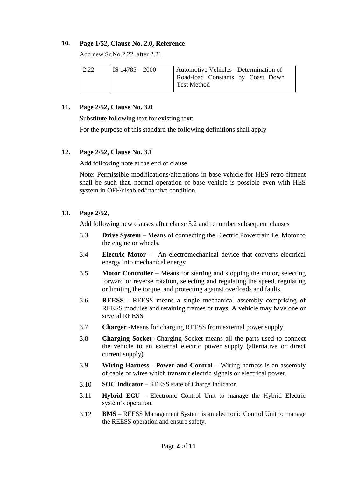#### **10. Page 1/52, Clause No. 2.0, Reference**

Add new Sr.No.2.22 after 2.21

| 2.22 | IS $14785 - 2000$ | Automotive Vehicles - Determination of                  |
|------|-------------------|---------------------------------------------------------|
|      |                   | Road-load Constants by Coast Down<br><b>Test Method</b> |

#### **11. Page 2/52, Clause No. 3.0**

Substitute following text for existing text:

For the purpose of this standard the following definitions shall apply

#### **12. Page 2/52, Clause No. 3.1**

Add following note at the end of clause

Note: Permissible modifications/alterations in base vehicle for HES retro-fitment shall be such that, normal operation of base vehicle is possible even with HES system in OFF/disabled/inactive condition.

# **13. Page 2/52,**

Add following new clauses after clause 3.2 and renumber subsequent clauses

- 3.3 **Drive System** Means of connecting the Electric Powertrain i.e. Motor to the engine or wheels.
- 3.4 **Electric Motor** An electromechanical device that converts electrical energy into mechanical energy
- 3.5 **Motor Controller** Means for starting and stopping the motor, selecting forward or reverse rotation, selecting and regulating the speed, regulating or limiting the torque, and protecting against overloads and faults.
- 3.6 **REESS**  REESS means a single mechanical assembly comprising of REESS modules and retaining frames or trays. A vehicle may have one or several REESS
- 3.7 **Charger** -Means for charging REESS from external power supply.
- 3.8 **Charging Socket -**Charging Socket means all the parts used to connect the vehicle to an external electric power supply (alternative or direct current supply).
- 3.9 **Wiring Harness - Power and Control –** Wiring harness is an assembly of cable or wires which transmit electric signals or electrical power.
- 3.10 **SOC Indicator** REESS state of Charge Indicator.
- 3.11 **Hybrid ECU** Electronic Control Unit to manage the Hybrid Electric system's operation.
- 3.12 **BMS**  REESS Management System is an electronic Control Unit to manage the REESS operation and ensure safety.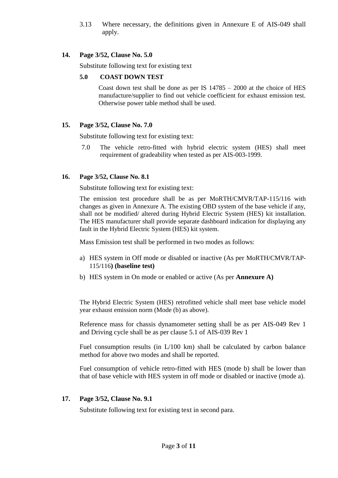3.13 Where necessary, the definitions given in Annexure E of AIS-049 shall apply.

#### **14. Page 3/52, Clause No. 5.0**

Substitute following text for existing text

#### **5.0 COAST DOWN TEST**

Coast down test shall be done as per IS 14785 – 2000 at the choice of HES manufacture/supplier to find out vehicle coefficient for exhaust emission test. Otherwise power table method shall be used.

# **15. Page 3/52, Clause No. 7.0**

Substitute following text for existing text:

 7.0 The vehicle retro-fitted with hybrid electric system (HES) shall meet requirement of gradeability when tested as per AIS-003-1999.

# **16. Page 3/52, Clause No. 8.1**

Substitute following text for existing text:

The emission test procedure shall be as per MoRTH/CMVR/TAP-115/116 with changes as given in Annexure A. The existing OBD system of the base vehicle if any, shall not be modified/ altered during Hybrid Electric System (HES) kit installation. The HES manufacturer shall provide separate dashboard indication for displaying any fault in the Hybrid Electric System (HES) kit system.

Mass Emission test shall be performed in two modes as follows:

- a) HES system in Off mode or disabled or inactive (As per MoRTH/CMVR/TAP-115/116**) (baseline test)**
- b) HES system in On mode or enabled or active (As per **Annexure A)**

The Hybrid Electric System (HES) retrofitted vehicle shall meet base vehicle model year exhaust emission norm (Mode (b) as above).

Reference mass for chassis dynamometer setting shall be as per AIS-049 Rev 1 and Driving cycle shall be as per clause 5.1 of AIS-039 Rev 1

Fuel consumption results (in L/100 km) shall be calculated by carbon balance method for above two modes and shall be reported.

Fuel consumption of vehicle retro-fitted with HES (mode b) shall be lower than that of base vehicle with HES system in off mode or disabled or inactive (mode a).

# **17. Page 3/52, Clause No. 9.1**

Substitute following text for existing text in second para.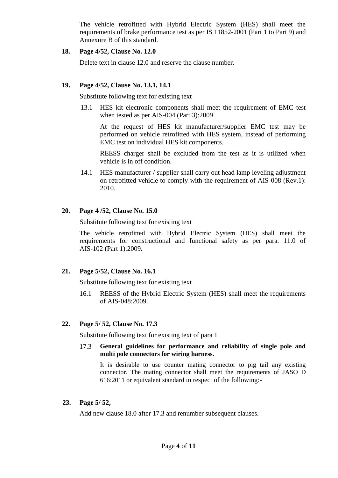The vehicle retrofitted with Hybrid Electric System (HES) shall meet the requirements of brake performance test as per IS 11852-2001 (Part 1 to Part 9) and Annexure B of this standard.

#### **18. Page 4/52, Clause No. 12.0**

Delete text in clause 12.0 and reserve the clause number.

#### **19. Page 4/52, Clause No. 13.1, 14.1**

Substitute following text for existing text

13.1 HES kit electronic components shall meet the requirement of EMC test when tested as per AIS-004 (Part 3):2009

At the request of HES kit manufacturer/supplier EMC test may be performed on vehicle retrofitted with HES system, instead of performing EMC test on individual HES kit components.

REESS charger shall be excluded from the test as it is utilized when vehicle is in off condition.

14.1 HES manufacturer / supplier shall carry out head lamp leveling adjustment on retrofitted vehicle to comply with the requirement of AIS-008 (Rev.1): 2010.

# **20. Page 4 /52, Clause No. 15.0**

Substitute following text for existing text

The vehicle retrofitted with Hybrid Electric System (HES) shall meet the requirements for constructional and functional safety as per para. 11.0 of AIS-102 (Part 1):2009.

# **21. Page 5/52, Clause No. 16.1**

Substitute following text for existing text

16.1 REESS of the Hybrid Electric System (HES) shall meet the requirements of AIS-048:2009.

# **22. Page 5/ 52, Clause No. 17.3**

Substitute following text for existing text of para 1

17.3 **General guidelines for performance and reliability of single pole and multi pole connectors for wiring harness.**

It is desirable to use counter mating connector to pig tail any existing connector. The mating connector shall meet the requirements of JASO D 616:2011 or equivalent standard in respect of the following:-

#### **23. Page 5/ 52,**

Add new clause 18.0 after 17.3 and renumber subsequent clauses.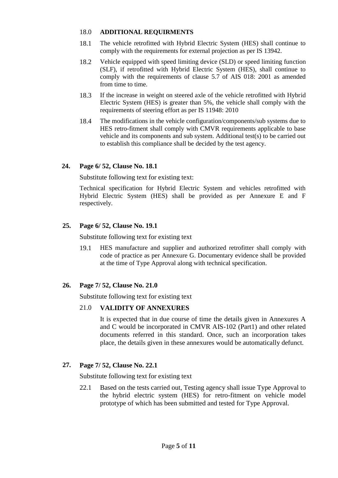#### 18.0 **ADDITIONAL REQUIRMENTS**

- 18.1 The vehicle retrofitted with Hybrid Electric System (HES) shall continue to comply with the requirements for external projection as per IS 13942.
- 18.2 Vehicle equipped with speed limiting device (SLD) or speed limiting function (SLF), if retrofitted with Hybrid Electric System (HES), shall continue to comply with the requirements of clause 5.7 of AIS 018: 2001 as amended from time to time.
- 18.3 If the increase in weight on steered axle of the vehicle retrofitted with Hybrid Electric System (HES) is greater than 5%, the vehicle shall comply with the requirements of steering effort as per IS 11948: 2010
- 18.4 The modifications in the vehicle configuration/components/sub systems due to HES retro-fitment shall comply with CMVR requirements applicable to base vehicle and its components and sub system. Additional test(s) to be carried out to establish this compliance shall be decided by the test agency.

# **24. Page 6/ 52, Clause No. 18.1**

Substitute following text for existing text:

Technical specification for Hybrid Electric System and vehicles retrofitted with Hybrid Electric System (HES) shall be provided as per Annexure E and F respectively.

# **25. Page 6/ 52, Clause No. 19.1**

Substitute following text for existing text

19.1 HES manufacture and supplier and authorized retrofitter shall comply with code of practice as per Annexure G. Documentary evidence shall be provided at the time of Type Approval along with technical specification.

# **26. Page 7/ 52, Clause No. 21.0**

Substitute following text for existing text

# 21.0 **VALIDITY OF ANNEXURES**

It is expected that in due course of time the details given in Annexures A and C would be incorporated in CMVR AIS-102 (Part1) and other related documents referred in this standard. Once, such an incorporation takes place, the details given in these annexures would be automatically defunct.

# **27. Page 7/ 52, Clause No. 22.1**

Substitute following text for existing text

22.1 Based on the tests carried out, Testing agency shall issue Type Approval to the hybrid electric system (HES) for retro-fitment on vehicle model prototype of which has been submitted and tested for Type Approval.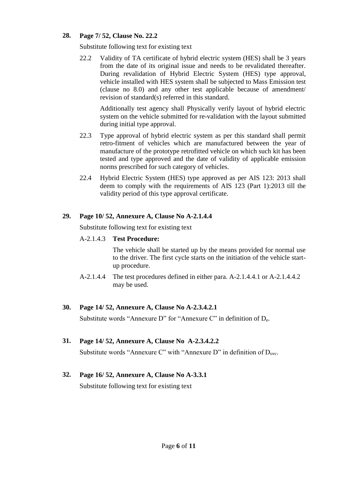# **28. Page 7/ 52, Clause No. 22.2**

Substitute following text for existing text

22.2 Validity of TA certificate of hybrid electric system (HES) shall be 3 years from the date of its original issue and needs to be revalidated thereafter. During revalidation of Hybrid Electric System (HES) type approval, vehicle installed with HES system shall be subjected to Mass Emission test (clause no 8.0) and any other test applicable because of amendment/ revision of standard(s) referred in this standard.

Additionally test agency shall Physically verify layout of hybrid electric system on the vehicle submitted for re-validation with the layout submitted during initial type approval.

- 22.3 Type approval of hybrid electric system as per this standard shall permit retro-fitment of vehicles which are manufactured between the year of manufacture of the prototype retrofitted vehicle on which such kit has been tested and type approved and the date of validity of applicable emission norms prescribed for such category of vehicles.
- 22.4 Hybrid Electric System (HES) type approved as per AIS 123: 2013 shall deem to comply with the requirements of AIS 123 (Part 1):2013 till the validity period of this type approval certificate.

# **29. Page 10/ 52, Annexure A, Clause No A-2.1.4.4**

Substitute following text for existing text

# A-2.1.4.3 **Test Procedure:**

The vehicle shall be started up by the means provided for normal use to the driver. The first cycle starts on the initiation of the vehicle startup procedure.

A-2.1.4.4 The test procedures defined in either para. A-2.1.4.4.1 or A-2.1.4.4.2 may be used.

# **30. Page 14/ 52, Annexure A, Clause No A-2.3.4.2.1**

Substitute words "Annexure D" for "Annexure C" in definition of De.

# **31. Page 14/ 52, Annexure A, Clause No A-2.3.4.2.2**

Substitute words "Annexure C" with "Annexure D" in definition of  $D_{\text{ovc}}$ .

# **32. Page 16/ 52, Annexure A, Clause No A-3.3.1**

Substitute following text for existing text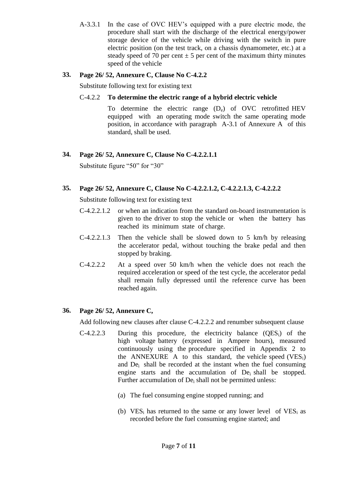A-3.3.1 In the case of OVC HEV's equipped with a pure electric mode, the procedure shall start with the discharge of the electrical energy/power storage device of the vehicle while driving with the switch in pure electric position (on the test track, on a chassis dynamometer, etc.) at a steady speed of 70 per cent  $\pm$  5 per cent of the maximum thirty minutes speed of the vehicle

# **33. Page 26/ 52, Annexure C, Clause No C-4.2.2**

Substitute following text for existing text

#### C-4.2.2 **To determine the electric range of a hybrid electric vehicle**

To determine the electric range  $(D_e)$  of OVC retrofitted HEV equipped with an operating mode switch the same operating mode position, in accordance with paragraph A-3.1 of Annexure A of this standard, shall be used.

# **34. Page 26/ 52, Annexure C, Clause No C-4.2.2.1.1**

Substitute figure "50" for "30"

#### **35. Page 26/ 52, Annexure C, Clause No C-4.2.2.1.2, C-4.2.2.1.3, C-4.2.2.2**

Substitute following text for existing text

- C-4.2.2.1.2 or when an indication from the standard on-board instrumentation is given to the driver to stop the vehicle or when the battery has reached its minimum state of charge.
- C-4.2.2.1.3 Then the vehicle shall be slowed down to 5 km/h by releasing the accelerator pedal, without touching the brake pedal and then stopped by braking.
- C-4.2.2.2 At a speed over 50 km/h when the vehicle does not reach the required acceleration or speed of the test cycle, the accelerator pedal shall remain fully depressed until the reference curve has been reached again.

# **36. Page 26/ 52, Annexure C,**

Add following new clauses after clause C-4.2.2.2 and renumber subsequent clause

- $C-4.2.2.3$  During this procedure, the electricity balance  $(QES<sub>i</sub>)$  of the high voltage battery (expressed in Ampere hours), measured continuously using the procedure specified in Appendix 2 to the ANNEXURE A to this standard, the vehicle speed  $(VES_i)$ and Dei shall be recorded at the instant when the fuel consuming engine starts and the accumulation of De<sub>i</sub> shall be stopped. Further accumulation of De<sub>i</sub> shall not be permitted unless:
	- (a) The fuel consuming engine stopped running; and
	- (b)  $VES_i$  has returned to the same or any lower level of  $VES_i$  as recorded before the fuel consuming engine started; and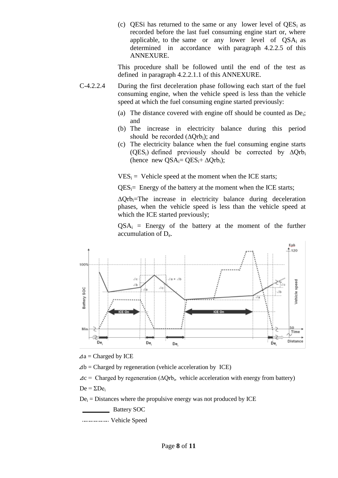(c) QESi has returned to the same or any lower level of  $QES_i$  as recorded before the last fuel consuming engine start or, where applicable, to the same or any lower level of  $QSA_i$  as determined in accordance with paragraph 4.2.2.5 of this ANNEXURE.

This procedure shall be followed until the end of the test as defined in paragraph 4.2.2.1.1 of this ANNEXURE.

- C-4.2.2.4 During the first deceleration phase following each start of the fuel consuming engine, when the vehicle speed is less than the vehicle speed at which the fuel consuming engine started previously:
	- (a) The distance covered with engine off should be counted as  $De_i$ ; and
	- (b) The increase in electricity balance during this period should be recorded  $(∆Orb_i)$ ; and
	- (c) The electricity balance when the fuel consuming engine starts (QES<sub>i</sub>) defined previously should be corrected by  $\Delta Qrb_i$ (hence new QSA<sub>i</sub>= QES<sub>i</sub>+  $\Delta$ Qrb<sub>i</sub>);

 $VES_i = Vehicle speed at the moment when the ICE starts;$ 

 $QES_i$ = Energy of the battery at the moment when the ICE starts;

∆Qrbi=The increase in electricity balance during deceleration phases, when the vehicle speed is less than the vehicle speed at which the ICE started previously;

 $QSA_i$  = Energy of the battery at the moment of the further accumulation of De.



 $\Delta a$  = Charged by ICE

 $\Delta b$  = Charged by regeneration (vehicle acceleration by ICE)

 $\Delta c$  = Charged by regeneration ( $\Delta Qrb_i$ , vehicle acceleration with energy from battery)  $De = \Sigma De_i$ 

 $De<sub>i</sub> = Distances$  where the propulsive energy was not produced by ICE

Battery SOC

Vehicle Speed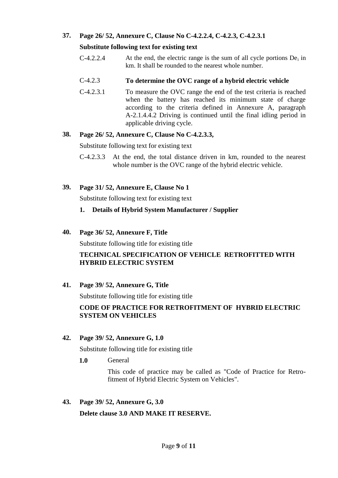# **37. Page 26/ 52, Annexure C, Clause No C-4.2.2.4, C-4.2.3, C-4.2.3.1**

#### **Substitute following text for existing text**

 $C-4.2.2.4$  At the end, the electric range is the sum of all cycle portions  $De<sub>i</sub>$  in km. It shall be rounded to the nearest whole number.

#### C-4.2.3 **To determine the OVC range of a hybrid electric vehicle**

C-4.2.3.1 To measure the OVC range the end of the test criteria is reached when the battery has reached its minimum state of charge according to the criteria defined in Annexure A, paragraph A-2.1.4.4.2 Driving is continued until the final idling period in applicable driving cycle.

#### **38. Page 26/ 52, Annexure C, Clause No C-4.2.3.3,**

Substitute following text for existing text

- C-4.2.3.3 At the end, the total distance driven in km, rounded to the nearest whole number is the OVC range of the hybrid electric vehicle.
- **39. Page 31/ 52, Annexure E, Clause No 1**

Substitute following text for existing text

# **1. Details of Hybrid System Manufacturer / Supplier**

#### **40. Page 36/ 52, Annexure F, Title**

Substitute following title for existing title

# **TECHNICAL SPECIFICATION OF VEHICLE RETROFITTED WITH HYBRID ELECTRIC SYSTEM**

# **41. Page 39/ 52, Annexure G, Title**

Substitute following title for existing title

# **CODE OF PRACTICE FOR RETROFITMENT OF HYBRID ELECTRIC SYSTEM ON VEHICLES**

# **42. Page 39/ 52, Annexure G, 1.0**

Substitute following title for existing title

**1.0** General

This code of practice may be called as "Code of Practice for Retrofitment of Hybrid Electric System on Vehicles".

**43. Page 39/ 52, Annexure G, 3.0**

**Delete clause 3.0 AND MAKE IT RESERVE.**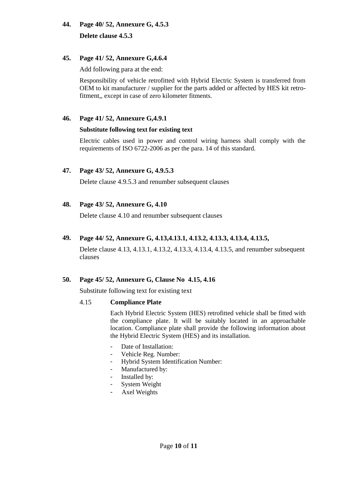# **44. Page 40/ 52, Annexure G, 4.5.3 Delete clause 4.5.3**

# **45. Page 41/ 52, Annexure G,4.6.4**

Add following para at the end:

Responsibility of vehicle retrofitted with Hybrid Electric System is transferred from OEM to kit manufacturer / supplier for the parts added or affected by HES kit retrofitment,, except in case of zero kilometer fitments.

# **46. Page 41/ 52, Annexure G,4.9.1**

# **Substitute following text for existing text**

Electric cables used in power and control wiring harness shall comply with the requirements of ISO 6722-2006 as per the para. 14 of this standard.

# **47. Page 43/ 52, Annexure G, 4.9.5.3**

Delete clause 4.9.5.3 and renumber subsequent clauses

# **48. Page 43/ 52, Annexure G, 4.10**

Delete clause 4.10 and renumber subsequent clauses

# **49. Page 44/ 52, Annexure G, 4.13,4.13.1, 4.13.2, 4.13.3, 4.13.4, 4.13.5,**

Delete clause 4.13, 4.13.1, 4.13.2, 4.13.3, 4.13.4, 4.13.5, and renumber subsequent clauses

# **50. Page 45/ 52, Annexure G, Clause No 4.15, 4.16**

Substitute following text for existing text

# 4.15 **Compliance Plate**

Each Hybrid Electric System (HES) retrofitted vehicle shall be fitted with the compliance plate. It will be suitably located in an approachable location. Compliance plate shall provide the following information about the Hybrid Electric System (HES) and its installation.

- Date of Installation:
- Vehicle Reg. Number:
- Hybrid System Identification Number:
- Manufactured by:
- Installed by:
- System Weight
- Axel Weights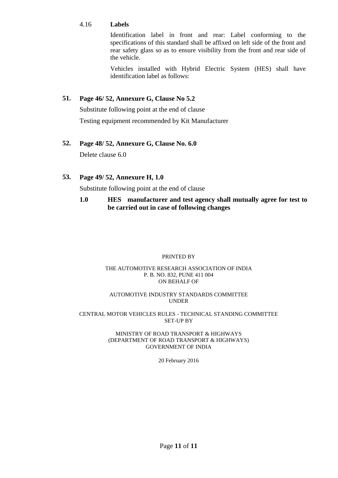#### 4.16 **Labels**

Identification label in front and rear: Label conforming to the specifications of this standard shall be affixed on left side of the front and rear safety glass so as to ensure visibility from the front and rear side of the vehicle.

Vehicles installed with Hybrid Electric System (HES) shall have identification label as follows:

# **51. Page 46/ 52, Annexure G, Clause No 5.2**

Substitute following point at the end of clause Testing equipment recommended by Kit Manufacturer

# **52. Page 48/ 52, Annexure G, Clause No. 6.0**

Delete clause 6.0

# **53. Page 49/ 52, Annexure H, 1.0**

Substitute following point at the end of clause

# **1.0 HES manufacturer and test agency shall mutually agree for test to be carried out in case of following changes**

#### PRINTED BY

#### THE AUTOMOTIVE RESEARCH ASSOCIATION OF INDIA P. B. NO. 832, PUNE 411 004 ON BEHALF OF

#### AUTOMOTIVE INDUSTRY STANDARDS COMMITTEE UNDER

#### CENTRAL MOTOR VEHICLES RULES - TECHNICAL STANDING COMMITTEE SET-UP BY

#### MINISTRY OF ROAD TRANSPORT & HIGHWAYS (DEPARTMENT OF ROAD TRANSPORT & HIGHWAYS) GOVERNMENT OF INDIA

20 February 2016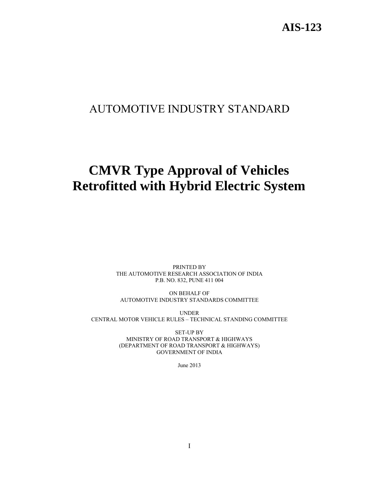# **AIS-123**

# AUTOMOTIVE INDUSTRY STANDARD

# **CMVR Type Approval of Vehicles Retrofitted with Hybrid Electric System**

PRINTED BY THE AUTOMOTIVE RESEARCH ASSOCIATION OF INDIA P.B. NO. 832, PUNE 411 004

ON BEHALF OF AUTOMOTIVE INDUSTRY STANDARDS COMMITTEE

UNDER CENTRAL MOTOR VEHICLE RULES – TECHNICAL STANDING COMMITTEE

> SET-UP BY MINISTRY OF ROAD TRANSPORT & HIGHWAYS (DEPARTMENT OF ROAD TRANSPORT & HIGHWAYS) GOVERNMENT OF INDIA

> > June 2013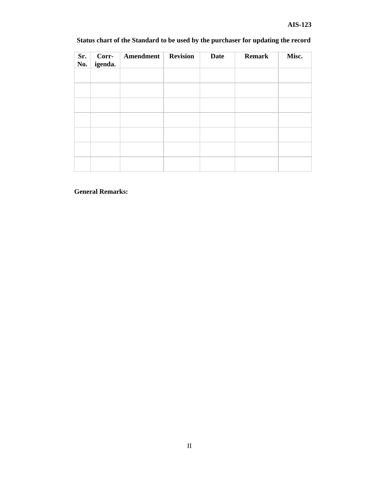| Sr.<br>No. | Corr-<br>igenda. | Amendment | <b>Revision</b> | <b>Date</b> | <b>Remark</b> | Misc. |
|------------|------------------|-----------|-----------------|-------------|---------------|-------|
|            |                  |           |                 |             |               |       |
|            |                  |           |                 |             |               |       |
|            |                  |           |                 |             |               |       |
|            |                  |           |                 |             |               |       |
|            |                  |           |                 |             |               |       |
|            |                  |           |                 |             |               |       |
|            |                  |           |                 |             |               |       |

# **Status chart of the Standard to be used by the purchaser for updating the record**

# **General Remarks:**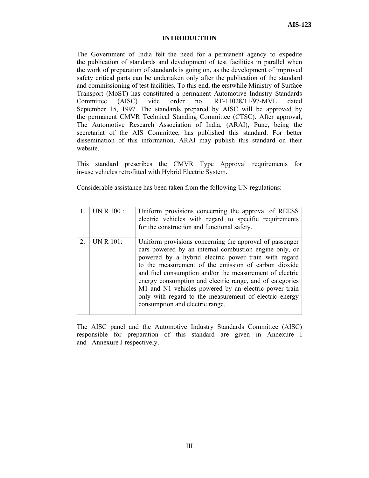#### **INTRODUCTION**

The Government of India felt the need for a permanent agency to expedite the publication of standards and development of test facilities in parallel when the work of preparation of standards is going on, as the development of improved safety critical parts can be undertaken only after the publication of the standard and commissioning of test facilities. To this end, the erstwhile Ministry of Surface Transport (MoST) has constituted a permanent Automotive Industry Standards Committee (AISC) vide order no. RT-11028/11/97-MVL dated September 15, 1997. The standards prepared by AISC will be approved by the permanent CMVR Technical Standing Committee (CTSC). After approval, The Automotive Research Association of India, (ARAI), Pune, being the secretariat of the AIS Committee, has published this standard. For better dissemination of this information, ARAI may publish this standard on their website.

This standard prescribes the CMVR Type Approval requirements for in-use vehicles retrofitted with Hybrid Electric System.

Considerable assistance has been taken from the following UN regulations:

|             | UN R 100 : | Uniform provisions concerning the approval of REESS<br>electric vehicles with regard to specific requirements<br>for the construction and functional safety.                                                                                                                                                                                                                                                                                                                                                   |
|-------------|------------|----------------------------------------------------------------------------------------------------------------------------------------------------------------------------------------------------------------------------------------------------------------------------------------------------------------------------------------------------------------------------------------------------------------------------------------------------------------------------------------------------------------|
| $2^{\circ}$ | UN R 101:  | Uniform provisions concerning the approval of passenger<br>cars powered by an internal combustion engine only, or<br>powered by a hybrid electric power train with regard<br>to the measurement of the emission of carbon dioxide<br>and fuel consumption and/or the measurement of electric<br>energy consumption and electric range, and of categories<br>M1 and N1 vehicles powered by an electric power train<br>only with regard to the measurement of electric energy<br>consumption and electric range. |

The AISC panel and the Automotive Industry Standards Committee (AISC) responsible for preparation of this standard are given in Annexure I and Annexure J respectively.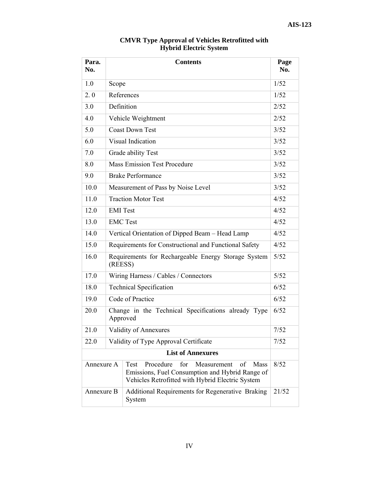÷.

| Para.<br>No. | <b>Contents</b>                                                |                                                                                                                                                                            |       |
|--------------|----------------------------------------------------------------|----------------------------------------------------------------------------------------------------------------------------------------------------------------------------|-------|
| 1.0          | Scope                                                          |                                                                                                                                                                            | 1/52  |
| 2.0          |                                                                | References                                                                                                                                                                 | 1/52  |
| 3.0          |                                                                | Definition                                                                                                                                                                 | 2/52  |
| 4.0          |                                                                | Vehicle Weightment                                                                                                                                                         | 2/52  |
| 5.0          |                                                                | <b>Coast Down Test</b>                                                                                                                                                     | 3/52  |
| 6.0          |                                                                | Visual Indication                                                                                                                                                          | 3/52  |
| 7.0          |                                                                | Grade ability Test                                                                                                                                                         | 3/52  |
| 8.0          |                                                                | <b>Mass Emission Test Procedure</b>                                                                                                                                        | 3/52  |
| 9.0          |                                                                | <b>Brake Performance</b>                                                                                                                                                   | 3/52  |
| 10.0         |                                                                | Measurement of Pass by Noise Level                                                                                                                                         | 3/52  |
| 11.0         |                                                                | <b>Traction Motor Test</b>                                                                                                                                                 | 4/52  |
| 12.0         | <b>EMI</b> Test                                                |                                                                                                                                                                            | 4/52  |
| 13.0         |                                                                | <b>EMC</b> Test                                                                                                                                                            |       |
| 14.0         | Vertical Orientation of Dipped Beam - Head Lamp                |                                                                                                                                                                            | 4/52  |
| 15.0         | Requirements for Constructional and Functional Safety          |                                                                                                                                                                            | 4/52  |
| 16.0         | Requirements for Rechargeable Energy Storage System<br>(REESS) |                                                                                                                                                                            |       |
| 17.0         |                                                                | Wiring Harness / Cables / Connectors                                                                                                                                       |       |
| 18.0         |                                                                | <b>Technical Specification</b>                                                                                                                                             | 6/52  |
| 19.0         |                                                                | Code of Practice                                                                                                                                                           | 6/52  |
| 20.0         | Approved                                                       | Change in the Technical Specifications already Type                                                                                                                        | 6/52  |
| 21.0         |                                                                | Validity of Annexures                                                                                                                                                      | 7/52  |
| 22.0         |                                                                | Validity of Type Approval Certificate                                                                                                                                      | 7/52  |
|              |                                                                | <b>List of Annexures</b>                                                                                                                                                   |       |
| Annexure A   |                                                                | <b>Test</b><br>Procedure<br>for<br>Measurement<br>of<br><b>Mass</b><br>Emissions, Fuel Consumption and Hybrid Range of<br>Vehicles Retrofitted with Hybrid Electric System | 8/52  |
| Annexure B   |                                                                | Additional Requirements for Regenerative Braking<br>System                                                                                                                 | 21/52 |

#### **CMVR Type Approval of Vehicles Retrofitted with Hybrid Electric System**

 $\top$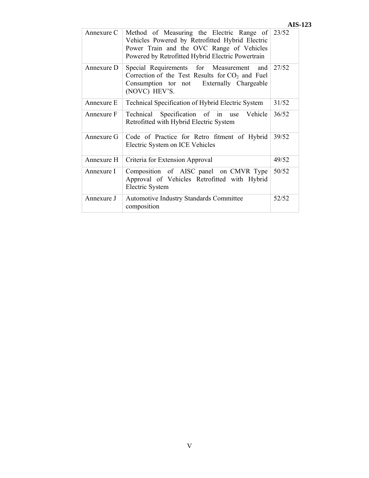|            |                                                                                                                                                                                                      | AI.   |
|------------|------------------------------------------------------------------------------------------------------------------------------------------------------------------------------------------------------|-------|
| Annexure C | Method of Measuring the Electric Range of 23/52<br>Vehicles Powered by Retrofitted Hybrid Electric<br>Power Train and the OVC Range of Vehicles<br>Powered by Retrofitted Hybrid Electric Powertrain |       |
| Annexure D | Special Requirements for Measurement and<br>Correction of the Test Results for $CO2$ and Fuel<br>Consumption tor not Externally Chargeable<br>(NOVC) HEV'S.                                          | 27/52 |
| Annexure E | Technical Specification of Hybrid Electric System                                                                                                                                                    | 31/52 |
| Annexure F | Technical Specification of in use<br>Vehicle<br>Retrofitted with Hybrid Electric System                                                                                                              | 36/52 |
| Annexure G | Code of Practice for Retro fitment of Hybrid<br>Electric System on ICE Vehicles                                                                                                                      | 39/52 |
| Annexure H | Criteria for Extension Approval                                                                                                                                                                      | 49/52 |
| Annexure I | Composition of AISC panel on CMVR Type<br>Approval of Vehicles Retrofitted with Hybrid<br>Electric System                                                                                            | 50/52 |
| Annexure J | <b>Automotive Industry Standards Committee</b><br>composition                                                                                                                                        | 52/52 |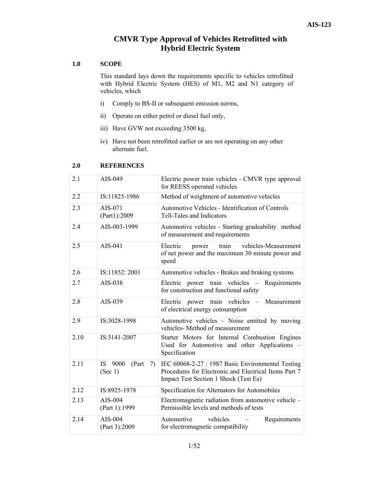# **CMVR Type Approval of Vehicles Retrofitted with Hybrid Electric System**

#### **1.0 SCOPE**

This standard lays down the requirements specific to vehicles retrofitted with Hybrid Electric System (HES) of M1, M2 and N1 category of vehicles, which

- i) Comply to BS-II or subsequent emission norms,
- ii) Operate on either petrol or diesel fuel only,
- iii) Have GVW not exceeding 3500 kg,
- iv) Have not been retrofitted earlier or are not operating on any other alternate fuel.

| 2.1  | AIS-049                                | Electric power train vehicles - CMVR type approval<br>for REESS operated vehicles                                                                   |
|------|----------------------------------------|-----------------------------------------------------------------------------------------------------------------------------------------------------|
| 2.2  | IS:11825-1986                          | Method of weighment of automotive vehicles                                                                                                          |
| 2.3  | AIS-071<br>(Part1):2009                | Automotive Vehicles - Identification of Controls<br>Tell-Tales and Indicators                                                                       |
| 2.4  | AIS-003-1999                           | Automotive vehicles - Starting gradeability method<br>of measurement and requirements                                                               |
| 2.5  | AIS-041                                | Electric<br>vehicles-Measurement<br>train<br>power<br>of net power and the maximum 30 minute power and<br>speed                                     |
| 2.6  | IS:11852: 2001                         | Automotive vehicles - Brakes and braking systems                                                                                                    |
| 2.7  | AIS-038                                | Electric power train vehicles - Requirements<br>for construction and functional safety                                                              |
| 2.8  | AIS-039                                | Electric power train vehicles<br>Measurement<br>$\equiv$ .<br>of electrical energy consumption                                                      |
| 2.9  | IS:3028-1998                           | Automotive vehicles – Noise emitted by moving<br>vehicles- Method of measurement                                                                    |
| 2.10 | IS:3141-2007                           | Starter Motors for Internal Combustion Engines<br>Used for Automotive and other Applications -<br>Specification                                     |
| 2.11 | IS -<br>9000<br>(Part<br>7)<br>(Sec 1) | IEC 60068-2-27 : 1987 Basic Environmental Testing<br>Procedures for Electronic and Electrical Items Part 7<br>Impact Test Section 1 Shock (Test Ea) |
| 2.12 | IS:8925-1978                           | Specification for Alternators for Automobiles                                                                                                       |
| 2.13 | AIS-004<br>(Part 1):1999               | Electromagnetic radiation from automotive vehicle -<br>Permissible levels and methods of tests                                                      |
| 2.14 | AIS-004<br>(Part 3):2009               | Automotive<br>vehicles<br>Requirements<br>for electromagnetic compatibility                                                                         |

#### **2.0 REFERENCES**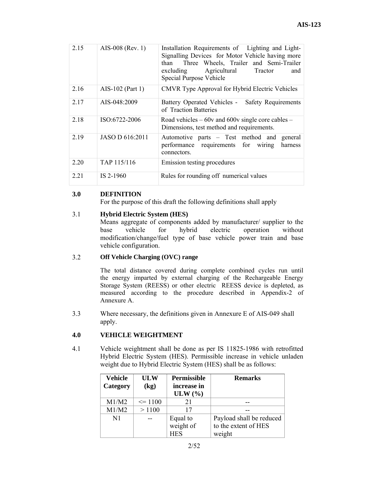| 2.15  | AIS-008 (Rev. 1) | Installation Requirements of Lighting and Light-<br>Signalling Devices for Motor Vehicle having more<br>Three Wheels, Trailer and Semi-Trailer<br>than<br>excluding Agricultural Tractor<br>and<br>Special Purpose Vehicle |
|-------|------------------|----------------------------------------------------------------------------------------------------------------------------------------------------------------------------------------------------------------------------|
| 2.16  | AIS-102 (Part 1) | CMVR Type Approval for Hybrid Electric Vehicles                                                                                                                                                                            |
| 2.17  | AIS-048:2009     | Battery Operated Vehicles -<br>Safety Requirements<br>of Traction Batteries                                                                                                                                                |
| 2.18  | ISO:6722-2006    | Road vehicles $-60v$ and 600v single core cables $-$<br>Dimensions, test method and requirements.                                                                                                                          |
| 2.19  | JASO D 616:2011  | Automotive parts – Test method and<br>general<br>performance requirements for wiring<br>harness<br>connectors.                                                                                                             |
| 2.20  | TAP 115/116      | Emission testing procedures                                                                                                                                                                                                |
| 2 2 1 | IS 2-1960        | Rules for rounding off numerical values                                                                                                                                                                                    |

#### **3.0 DEFINITION**

For the purpose of this draft the following definitions shall apply

#### 3.1 **Hybrid Electric System (HES)**

Means aggregate of components added by manufacturer/ supplier to the base vehicle for hybrid electric operation without modification/change/fuel type of base vehicle power train and base vehicle configuration.

#### 3.2 **Off Vehicle Charging (OVC) range**

The total distance covered during complete combined cycles run until the energy imparted by external charging of the Rechargeable Energy Storage System (REESS) or other electric REESS device is depleted, as measured according to the procedure described in Appendix-2 of Annexure A.

3.3 Where necessary, the definitions given in Annexure E of AIS-049 shall apply.

#### **4.0 VEHICLE WEIGHTMENT**

4.1 Vehicle weightment shall be done as per IS 11825-1986 with retrofitted Hybrid Electric System (HES). Permissible increase in vehicle unladen weight due to Hybrid Electric System (HES) shall be as follows:

| <b>Vehicle</b><br>Category | <b>ULW</b><br>(kg) | <b>Permissible</b><br>increase in<br>ULW $(\% )$ | <b>Remarks</b>           |
|----------------------------|--------------------|--------------------------------------------------|--------------------------|
| M1/M2                      | $\leq 1100$        | 21                                               |                          |
| M1/M2                      | >1100              | 17                                               |                          |
| $\mathbf{N}$ 1             |                    | Equal to                                         | Payload shall be reduced |
|                            |                    | weight of                                        | to the extent of HES     |
|                            |                    | <b>HES</b>                                       | weight                   |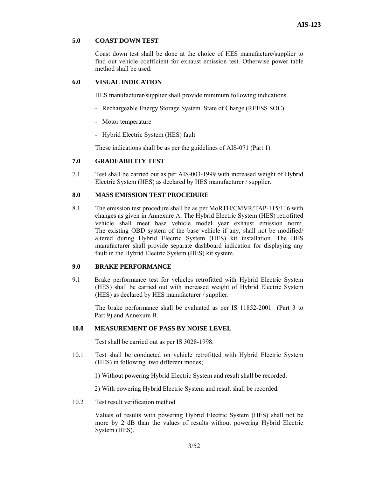#### **5.0 COAST DOWN TEST**

Coast down test shall be done at the choice of HES manufacture/supplier to find out vehicle coefficient for exhaust emission test. Otherwise power table method shall be used.

#### **6.0 VISUAL INDICATION**

HES manufacturer/supplier shall provide minimum following indications.

- Rechargeable Energy Storage System State of Charge (REESS SOC)
- Motor temperature
- Hybrid Electric System (HES) fault

These indications shall be as per the guidelines of AIS-071 (Part 1).

#### **7.0 GRADEABILITY TEST**

7.1 Test shall be carried out as per AIS-003-1999 with increased weight of Hybrid Electric System (HES) as declared by HES manufacturer / supplier.

#### **8.0 MASS EMISSION TEST PROCEDURE**

8.1 The emission test procedure shall be as per MoRTH/CMVR/TAP-115/116 with changes as given in Annexure A. The Hybrid Electric System (HES) retrofitted vehicle shall meet base vehicle model year exhaust emission norm. The existing OBD system of the base vehicle if any, shall not be modified/ altered during Hybrid Electric System (HES) kit installation. The HES manufacturer shall provide separate dashboard indication for displaying any fault in the Hybrid Electric System (HES) kit system.

#### **9.0 BRAKE PERFORMANCE**

9.1 Brake performance test for vehicles retrofitted with Hybrid Electric System (HES) shall be carried out with increased weight of Hybrid Electric System (HES) as declared by HES manufacturer / supplier.

The brake performance shall be evaluated as per IS 11852-2001 (Part 3 to Part 9) and Annexure B.

#### **10.0 MEASUREMENT OF PASS BY NOISE LEVEL**

Test shall be carried out as per IS 3028-1998.

- 10.1 Test shall be conducted on vehicle retrofitted with Hybrid Electric System (HES) in following two different modes;
	- 1) Without powering Hybrid Electric System and result shall be recorded.

2) With powering Hybrid Electric System and result shall be recorded.

10.2 Test result verification method

Values of results with powering Hybrid Electric System (HES) shall not be more by 2 dB than the values of results without powering Hybrid Electric System (HES).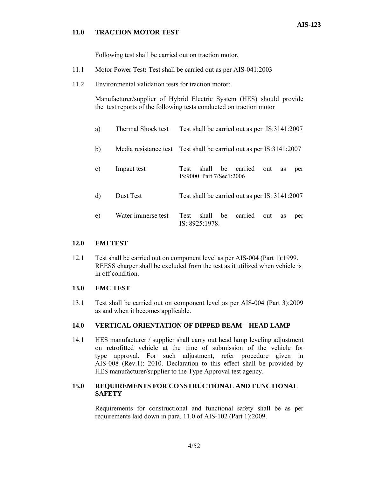#### **11.0 TRACTION MOTOR TEST**

Following test shall be carried out on traction motor.

- 11.1 Motor Power Test**:** Test shall be carried out as per AIS-041:2003
- 11.2 Environmental validation tests for traction motor:

Manufacturer/supplier of Hybrid Electric System (HES) should provide the test reports of the following tests conducted on traction motor

| a) | Thermal Shock test | Test shall be carried out as per IS:3141:2007                                  |
|----|--------------------|--------------------------------------------------------------------------------|
| b) |                    | Media resistance test Test shall be carried out as per IS:3141:2007            |
| C) | Impact test        | be<br>carried<br>shall<br>Test<br>out<br>as<br>per<br>IS:9000 Part 7/Sec1:2006 |
| d) | Dust Test          | Test shall be carried out as per IS: 3141:2007                                 |
| e) | Water immerse test | shall<br>be<br>carried<br>Test<br>out<br>as<br>per<br>IS 8925 1978             |

#### **12.0 EMI TEST**

12.1 Test shall be carried out on component level as per AIS-004 (Part 1):1999. REESS charger shall be excluded from the test as it utilized when vehicle is in off condition.

#### **13.0 EMC TEST**

13.1 Test shall be carried out on component level as per AIS-004 (Part 3):2009 as and when it becomes applicable.

#### **14.0 VERTICAL ORIENTATION OF DIPPED BEAM – HEAD LAMP**

14.1 HES manufacturer / supplier shall carry out head lamp leveling adjustment on retrofitted vehicle at the time of submission of the vehicle for type approval. For such adjustment, refer procedure given in AIS-008 (Rev.1): 2010. Declaration to this effect shall be provided by HES manufacturer/supplier to the Type Approval test agency.

#### **15.0 REQUIREMENTS FOR CONSTRUCTIONAL AND FUNCTIONAL SAFETY**

Requirements for constructional and functional safety shall be as per requirements laid down in para. 11.0 of AIS-102 (Part 1):2009.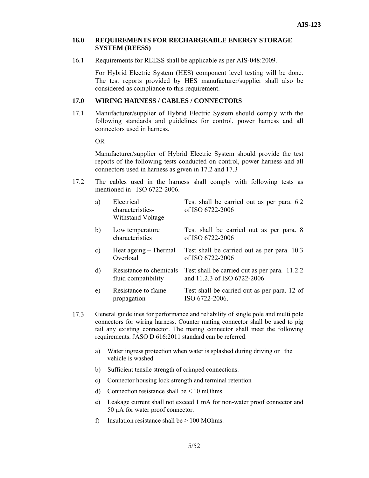#### **16.0 REQUIREMENTS FOR RECHARGEABLE ENERGY STORAGE SYSTEM (REESS)**

16.1 Requirements for REESS shall be applicable as per AIS-048:2009.

For Hybrid Electric System (HES) component level testing will be done. The test reports provided by HES manufacturer/supplier shall also be considered as compliance to this requirement.

#### **17.0 WIRING HARNESS / CABLES / CONNECTORS**

17.1 Manufacturer/supplier of Hybrid Electric System should comply with the following standards and guidelines for control, power harness and all connectors used in harness.

OR

Manufacturer/supplier of Hybrid Electric System should provide the test reports of the following tests conducted on control, power harness and all connectors used in harness as given in 17.2 and 17.3

17.2 The cables used in the harness shall comply with following tests as mentioned in ISO 6722-2006.

| a)           | Electrical<br>characteristics-<br>Withstand Voltage | Test shall be carried out as per para. 6.2<br>of ISO 6722-2006               |
|--------------|-----------------------------------------------------|------------------------------------------------------------------------------|
| b)           | Low temperature<br>characteristics                  | Test shall be carried out as per para. 8<br>of ISO 6722-2006                 |
| c)           | Heat ageing – Thermal<br>Overload                   | Test shall be carried out as per para. 10.3<br>of ISO 6722-2006              |
| $\mathbf{d}$ | Resistance to chemicals<br>fluid compatibility      | Test shall be carried out as per para. 11.2.2<br>and 11.2.3 of ISO 6722-2006 |
| e)           | Resistance to flame<br>propagation                  | Test shall be carried out as per para. 12 of<br>ISO 6722-2006.               |

- 17.3 General guidelines for performance and reliability of single pole and multi pole connectors for wiring harness. Counter mating connector shall be used to pig tail any existing connector. The mating connector shall meet the following requirements. JASO D 616:2011 standard can be referred.
	- a) Water ingress protection when water is splashed during driving or the vehicle is washed
	- b) Sufficient tensile strength of crimped connections.
	- c) Connector housing lock strength and terminal retention
	- d) Connection resistance shall be  $\leq 10$  mOhms
	- e) Leakage current shall not exceed 1 mA for non-water proof connector and 50 µA for water proof connector.
	- f) Insulation resistance shall be  $> 100$  MOhms.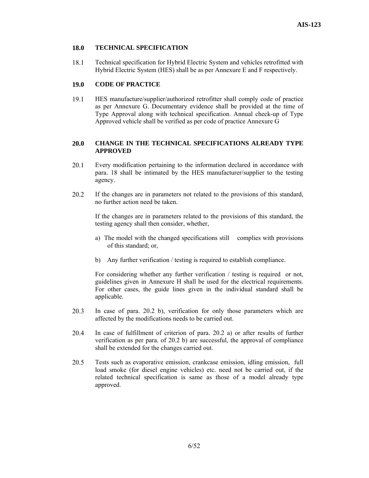#### **18.0 TECHNICAL SPECIFICATION**

18.1 Technical specification for Hybrid Electric System and vehicles retrofitted with Hybrid Electric System (HES) shall be as per Annexure E and F respectively.

#### **19.0 CODE OF PRACTICE**

19.1 HES manufacture/supplier/authorized retrofitter shall comply code of practice as per Annexure G. Documentary evidence shall be provided at the time of Type Approval along with technical specification. Annual check-up of Type Approved vehicle shall be verified as per code of practice Annexure G

#### **20.0 CHANGE IN THE TECHNICAL SPECIFICATIONS ALREADY TYPE APPROVED**

- 20.1 Every modification pertaining to the information declared in accordance with para. 18 shall be intimated by the HES manufacturer/supplier to the testing agency.
- 20.2 If the changes are in parameters not related to the provisions of this standard, no further action need be taken.

If the changes are in parameters related to the provisions of this standard, the testing agency shall then consider, whether,

- a) The model with the changed specifications still complies with provisions of this standard; or,
- b) Any further verification / testing is required to establish compliance.

For considering whether any further verification / testing is required or not, guidelines given in Annexure H shall be used for the electrical requirements. For other cases, the guide lines given in the individual standard shall be applicable.

- 20.3 In case of para. 20.2 b), verification for only those parameters which are affected by the modifications needs to be carried out.
- 20.4 In case of fulfillment of criterion of para. 20.2 a) or after results of further verification as per para. of 20.2 b) are successful, the approval of compliance shall be extended for the changes carried out.
- 20.5 Tests such as evaporative emission, crankcase emission, idling emission, full load smoke (for diesel engine vehicles) etc. need not be carried out, if the related technical specification is same as those of a model already type approved.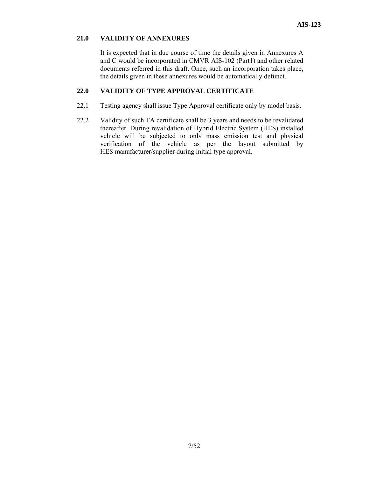#### **21.0 VALIDITY OF ANNEXURES**

It is expected that in due course of time the details given in Annexures A and C would be incorporated in CMVR AIS-102 (Part1) and other related documents referred in this draft. Once, such an incorporation takes place, the details given in these annexures would be automatically defunct.

#### **22.0 VALIDITY OF TYPE APPROVAL CERTIFICATE**

- 22.1 Testing agency shall issue Type Approval certificate only by model basis.
- 22.2 Validity of such TA certificate shall be 3 years and needs to be revalidated thereafter. During revalidation of Hybrid Electric System (HES) installed vehicle will be subjected to only mass emission test and physical verification of the vehicle as per the layout submitted by HES manufacturer/supplier during initial type approval.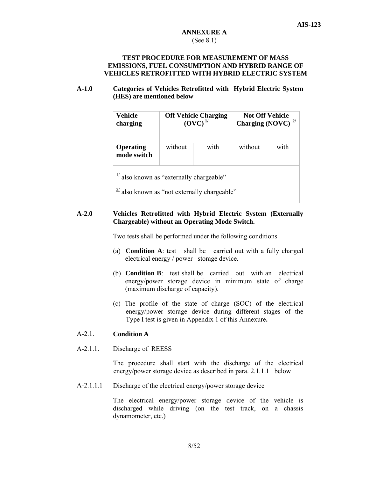#### **ANNEXURE A**  (See 8.1)

#### **TEST PROCEDURE FOR MEASUREMENT OF MASS EMISSIONS, FUEL CONSUMPTION AND HYBRID RANGE OF VEHICLES RETROFITTED WITH HYBRID ELECTRIC SYSTEM**

#### **A-1.0 Categories of Vehicles Retrofitted with Hybrid Electric System (HES) are mentioned below**

| Vehicle                         | <b>Off Vehicle Charging</b> |      | <b>Not Off Vehicle</b>         |      |
|---------------------------------|-----------------------------|------|--------------------------------|------|
| charging                        | $(OVC)^{\frac{1}{2}}$       |      | Charging (NOVC) $\frac{27}{2}$ |      |
| <b>Operating</b><br>mode switch | without                     | with | without                        | with |

 $\frac{1}{2}$  also known as "externally chargeable"

 $\frac{2}{l}$  also known as "not externally chargeable"

#### **A-2.0 Vehicles Retrofitted with Hybrid Electric System (Externally Chargeable) without an Operating Mode Switch.**

Two tests shall be performed under the following conditions

- (a) **Condition A**: test shall be carried out with a fully charged electrical energy / power storage device.
- (b) **Condition B**: test shall be carried out with an electrical energy/power storage device in minimum state of charge (maximum discharge of capacity).
- (c) The profile of the state of charge (SOC) of the electrical energy/power storage device during different stages of the Type I test is given in Appendix 1 of this Annexure**.**

#### A-2.1. **Condition A**

A-2.1.1. Discharge of REESS

The procedure shall start with the discharge of the electrical energy/power storage device as described in para. 2.1.1.1 below

A-2.1.1.1 Discharge of the electrical energy/power storage device

> The electrical energy/power storage device of the vehicle is discharged while driving (on the test track, on a chassis dynamometer, etc.)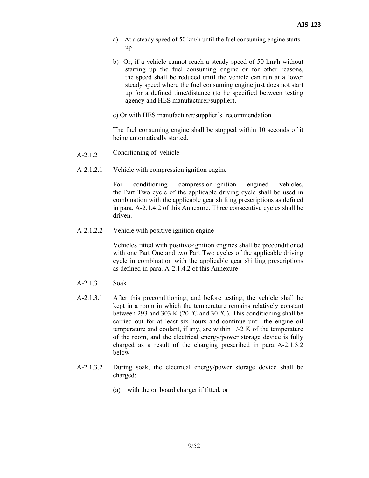- a) At a steady speed of 50 km/h until the fuel consuming engine starts up
- b) Or, if a vehicle cannot reach a steady speed of 50 km/h without starting up the fuel consuming engine or for other reasons, the speed shall be reduced until the vehicle can run at a lower steady speed where the fuel consuming engine just does not start up for a defined time/distance (to be specified between testing agency and HES manufacturer/supplier).
- c) Or with HES manufacturer/supplier's recommendation.

The fuel consuming engine shall be stopped within 10 seconds of it being automatically started.

- A-2.1.2 Conditioning of vehicle
- A-2.1.2.1 Vehicle with compression ignition engine

 For conditioning compression-ignition engined vehicles, the Part Two cycle of the applicable driving cycle shall be used in combination with the applicable gear shifting prescriptions as defined in para. A-2.1.4.2 of this Annexure. Three consecutive cycles shall be driven.

A-2.1.2.2 Vehicle with positive ignition engine

 Vehicles fitted with positive-ignition engines shall be preconditioned with one Part One and two Part Two cycles of the applicable driving cycle in combination with the applicable gear shifting prescriptions as defined in para. A-2.1.4.2 of this Annexure

- A-2.1.3 Soak
- A-2.1.3.1 After this preconditioning, and before testing, the vehicle shall be kept in a room in which the temperature remains relatively constant between 293 and 303 K (20  $\degree$ C and 30  $\degree$ C). This conditioning shall be carried out for at least six hours and continue until the engine oil temperature and coolant, if any, are within  $\pm/2$  K of the temperature of the room, and the electrical energy/power storage device is fully charged as a result of the charging prescribed in para. A-2.1.3.2 below
- A-2.1.3.2 During soak, the electrical energy/power storage device shall be charged:
	- (a) with the on board charger if fitted, or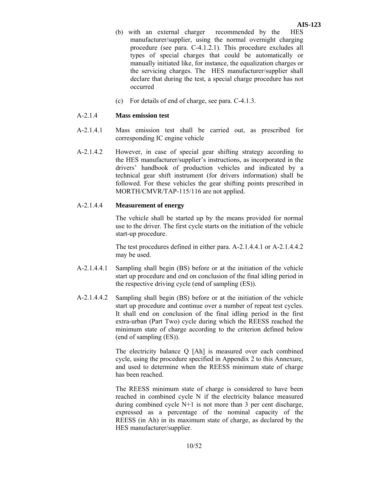- (b) with an external charger recommended by the HES manufacturer/supplier, using the normal overnight charging procedure (see para. C-4.1.2.1). This procedure excludes all types of special charges that could be automatically or manually initiated like, for instance, the equalization charges or the servicing charges. The HES manufacturer/supplier shall declare that during the test, a special charge procedure has not occurred
- (c) For details of end of charge, see para. C-4.1.3.

#### A-2.1.4 **Mass emission test**

- A-2.1.4.1 Mass emission test shall be carried out, as prescribed for corresponding IC engine vehicle
- A-2.1.4.2 However, in case of special gear shifting strategy according to the HES manufacturer/supplier's instructions, as incorporated in the drivers' handbook of production vehicles and indicated by a technical gear shift instrument (for drivers information) shall be followed. For these vehicles the gear shifting points prescribed in MORTH/CMVR/TAP-115/116 are not applied.

#### A-2.1.4.4 **Measurement of energy**

The vehicle shall be started up by the means provided for normal use to the driver. The first cycle starts on the initiation of the vehicle start-up procedure.

The test procedures defined in either para. A-2.1.4.4.1 or A-2.1.4.4.2 may be used.

- A-2.1.4.4.1 Sampling shall begin (BS) before or at the initiation of the vehicle start up procedure and end on conclusion of the final idling period in the respective driving cycle (end of sampling (ES)).
- A-2.1.4.4.2 Sampling shall begin (BS) before or at the initiation of the vehicle start up procedure and continue over a number of repeat test cycles. It shall end on conclusion of the final idling period in the first extra-urban (Part Two) cycle during which the REESS reached the minimum state of charge according to the criterion defined below (end of sampling (ES)).

The electricity balance Q [Ah] is measured over each combined cycle, using the procedure specified in Appendix 2 to this Annexure, and used to determine when the REESS minimum state of charge has been reached.

The REESS minimum state of charge is considered to have been reached in combined cycle N if the electricity balance measured during combined cycle N+1 is not more than 3 per cent discharge, expressed as a percentage of the nominal capacity of the REESS (in Ah) in its maximum state of charge, as declared by the HES manufacturer/supplier.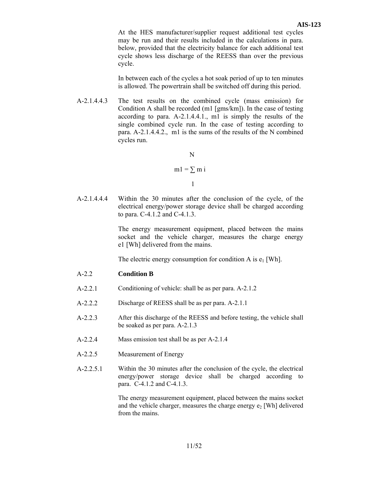At the HES manufacturer/supplier request additional test cycles may be run and their results included in the calculations in para. below, provided that the electricity balance for each additional test cycle shows less discharge of the REESS than over the previous cycle.

In between each of the cycles a hot soak period of up to ten minutes is allowed. The powertrain shall be switched off during this period.

A-2.1.4.4.3 The test results on the combined cycle (mass emission) for Condition A shall be recorded (m1 [gms/km]). In the case of testing according to para. A-2.1.4.4.1., m1 is simply the results of the single combined cycle run. In the case of testing according to para. A-2.1.4.4.2., m1 is the sums of the results of the N combined cycles run.

 N  $ml = \sum m i$ 1

A-2.1.4.4.4 Within the 30 minutes after the conclusion of the cycle, of the electrical energy/power storage device shall be charged according to para. C-4.1.2 and C-4.1.3.

> The energy measurement equipment, placed between the mains socket and the vehicle charger, measures the charge energy e1 [Wh] delivered from the mains.

The electric energy consumption for condition A is  $e_1$  [Wh].

- A-2.2 **Condition B**
- A-2.2.1 Conditioning of vehicle: shall be as per para. A-2.1.2
- A-2.2.2 Discharge of REESS shall be as per para. A-2.1.1
- A-2.2.3 After this discharge of the REESS and before testing, the vehicle shall be soaked as per para. A-2.1.3
- A-2.2.4 Mass emission test shall be as per A-2.1.4
- A-2.2.5 Measurement of Energy
- A-2.2.5.1 Within the 30 minutes after the conclusion of the cycle, the electrical energy/power storage device shall be charged according to para. C-4.1.2 and C-4.1.3.

The energy measurement equipment, placed between the mains socket and the vehicle charger, measures the charge energy  $e_2$  [Wh] delivered from the mains.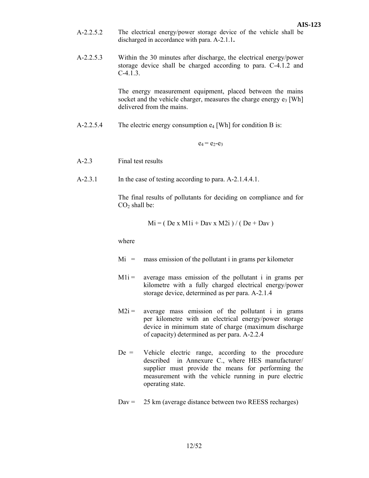- A-2.2.5.2 The electrical energy/power storage device of the vehicle shall be discharged in accordance with para. A-2.1.1**.**
- A-2.2.5.3 Within the 30 minutes after discharge, the electrical energy/power storage device shall be charged according to para. C-4.1.2 and  $C-4.1.3.$

The energy measurement equipment, placed between the mains socket and the vehicle charger, measures the charge energy  $e_3$  [Wh] delivered from the mains.

A-2.2.5.4 The electric energy consumption  $e_4$  [Wh] for condition B is:

 $e_4 = e_2-e_3$ 

- A-2.3 Final test results
- A-2.3.1 In the case of testing according to para. A-2.1.4.4.1.

The final results of pollutants for deciding on compliance and for  $CO<sub>2</sub>$  shall be:

$$
Mi = (De x M1i + Dav x M2i) / (De + Dav)
$$

where

- $Mi =$  mass emission of the pollutant i in grams per kilometer
- $M1i =$  average mass emission of the pollutant i in grams per kilometre with a fully charged electrical energy/power storage device, determined as per para. A-2.1.4
- $M2i =$  average mass emission of the pollutant i in grams per kilometre with an electrical energy/power storage device in minimum state of charge (maximum discharge of capacity) determined as per para. A-2.2.4
- $De =$  Vehicle electric range, according to the procedure described in Annexure C., where HES manufacturer/ supplier must provide the means for performing the measurement with the vehicle running in pure electric operating state.
- $Dav = 25 \text{ km}$  (average distance between two REESS recharges)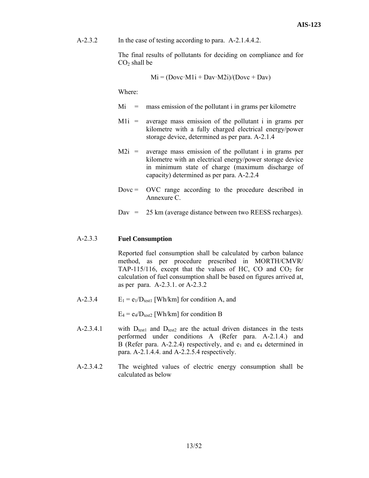A-2.3.2 In the case of testing according to para. A-2.1.4.4.2.

The final results of pollutants for deciding on compliance and for  $CO<sub>2</sub>$  shall be

$$
Mi = (Dovc \cdot M1i + Dav \cdot M2i)/(Dovc + Dav)
$$

Where:

- $Mi =$  mass emission of the pollutant i in grams per kilometre
- $M1i =$  average mass emission of the pollutant i in grams per kilometre with a fully charged electrical energy/power storage device, determined as per para. A-2.1.4
- $M2i$  = average mass emission of the pollutant i in grams per kilometre with an electrical energy/power storage device in minimum state of charge (maximum discharge of capacity) determined as per para. A-2.2.4
- $Dovc = OVC$  range according to the procedure described in Annexure C.
- Dav = 25 km (average distance between two REESS recharges).

#### A-2.3.3 **Fuel Consumption**

 Reported fuel consumption shall be calculated by carbon balance method, as per procedure prescribed in MORTH/CMVR/ TAP-115/116, except that the values of HC, CO and  $CO<sub>2</sub>$  for calculation of fuel consumption shall be based on figures arrived at, as per para. A-2.3.1. or A-2.3.2

A-2.3.4  $E_1 = e_1/D_{\text{test1}}$  [Wh/km] for condition A, and

 $E_4 = e_4/D_{\text{test2}}$  [Wh/km] for condition B

- A-2.3.4.1 with  $D_{test1}$  and  $D_{test2}$  are the actual driven distances in the tests performed under conditions A (Refer para. A-2.1.4.) and B (Refer para. A-2.2.4) respectively, and  $e_1$  and  $e_4$  determined in para. A-2.1.4.4. and A-2.2.5.4 respectively.
- A-2.3.4.2 The weighted values of electric energy consumption shall be calculated as below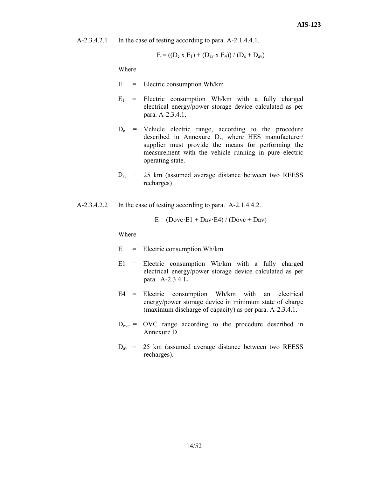A-2.3.4.2.1 In the case of testing according to para. A-2.1.4.4.1.

$$
E = ((D_e \times E_1) + (D_{av} \times E_4)) / (D_e + D_{av})
$$

Where

- $E =$  Electric consumption Wh/km
- $E_1$  = Electric consumption Wh/km with a fully charged electrical energy/power storage device calculated as per para. A-2.3.4.1**.**
- $D_e$  = Vehicle electric range, according to the procedure described in Annexure D., where HES manufacturer/ supplier must provide the means for performing the measurement with the vehicle running in pure electric operating state.
- $D_{av}$  = 25 km (assumed average distance between two REESS recharges)
- A-2.3.4.2.2 In the case of testing according to para. A-2.1.4.4.2.

$$
E = (Dovc \cdot E1 + Dav \cdot E4) / (Dovc + Dav)
$$

Where

- $E =$  Electric consumption Wh/km.
- $E1$  = Electric consumption Wh/km with a fully charged electrical energy/power storage device calculated as per para. A-2.3.4.1**.**
- E4 = Electric consumption Wh/km with an electrical energy/power storage device in minimum state of charge (maximum discharge of capacity) as per para. A-2.3.4.1.
- $D_{\text{ovc}} = \text{OVC}$  range according to the procedure described in Annexure D.
- $D_{av}$  = 25 km (assumed average distance between two REESS recharges).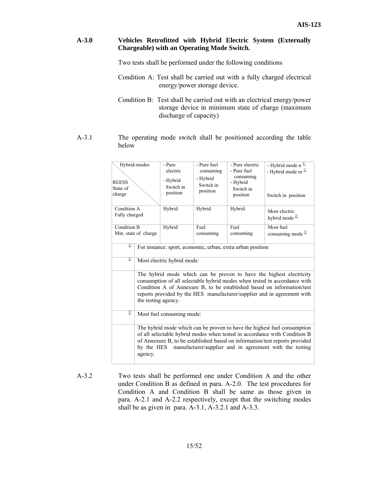### **A-3.0 Vehicles Retrofitted with Hybrid Electric System (Externally Chargeable) with an Operating Mode Switch.**

Two tests shall be performed under the following conditions

- Condition A: Test shall be carried out with a fully charged electrical energy/power storage device.
- Condition B: Test shall be carried out with an electrical energy/power storage device in minimum state of charge (maximum discharge of capacity)
- A-3.1 The operating mode switch shall be positioned according the table below

| Hybrid-modes<br><b>REESS</b><br>State of<br>charge |                                                                                                                                                                                                                                                                                                                              | - Pure<br>electric<br>- Hybrid<br>Switch in<br>position | - Pure fuel<br>consuming<br>- Hybrid<br>Switch in<br>position | - Pure electric<br>- Pure fuel<br>consuming<br>- Hybrid<br>Switch in<br>position | - Hybrid mode $n^{\frac{1}{2}}$<br>- Hybrid mode m $\frac{1}{2}$<br>Switch in position |
|----------------------------------------------------|------------------------------------------------------------------------------------------------------------------------------------------------------------------------------------------------------------------------------------------------------------------------------------------------------------------------------|---------------------------------------------------------|---------------------------------------------------------------|----------------------------------------------------------------------------------|----------------------------------------------------------------------------------------|
| Condition A<br>Fully charged                       |                                                                                                                                                                                                                                                                                                                              | Hybrid                                                  | Hybrid                                                        | Hybrid                                                                           | Most electric<br>hybrid mode $\frac{27}{2}$                                            |
| Condition B<br>Min. state of charge                |                                                                                                                                                                                                                                                                                                                              | Hybrid                                                  | Fuel<br>consuming                                             | Fuel<br>consuming                                                                | Most fuel<br>consuming mode $\frac{3}{2}$                                              |
| $\overline{\pi}$                                   | For instance: sport, economic, urban, extra urban position                                                                                                                                                                                                                                                                   |                                                         |                                                               |                                                                                  |                                                                                        |
| $\overline{2/}$                                    | Most electric hybrid mode:                                                                                                                                                                                                                                                                                                   |                                                         |                                                               |                                                                                  |                                                                                        |
|                                                    | The hybrid mode which can be proven to have the highest electricity<br>consumption of all selectable hybrid modes when tested in accordance with<br>Condition A of Annexure B, to be established based on information/test<br>reports provided by the HES manufacturer/supplier and in agreement with<br>the testing agency. |                                                         |                                                               |                                                                                  |                                                                                        |
| $\frac{3}{2}$                                      | Most fuel consuming mode:                                                                                                                                                                                                                                                                                                    |                                                         |                                                               |                                                                                  |                                                                                        |
|                                                    | The hybrid mode which can be proven to have the highest fuel consumption<br>of all selectable hybrid modes when tested in accordance with Condition B<br>of Annexure B, to be established based on information/test reports provided<br>manufacturer/supplier and in agreement with the testing<br>by the HES<br>agency.     |                                                         |                                                               |                                                                                  |                                                                                        |

A-3.2 Two tests shall be performed one under Condition A and the other under Condition B as defined in para. A-2.0. The test procedures for Condition A and Condition B shall be same as those given in para. A-2.1 and A-2.2 respectively, except that the switching modes shall be as given in para. A-3.1, A-3.2.1 and A-3.3.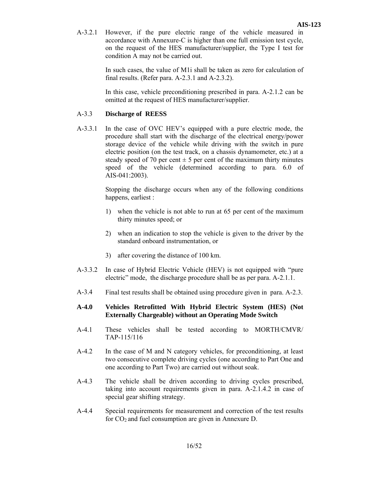A-3.2.1 However, if the pure electric range of the vehicle measured in accordance with Annexure-C is higher than one full emission test cycle, on the request of the HES manufacturer/supplier, the Type I test for condition A may not be carried out.

> In such cases, the value of M1i shall be taken as zero for calculation of final results. (Refer para. A-2.3.1 and A-2.3.2).

> In this case, vehicle preconditioning prescribed in para. A-2.1.2 can be omitted at the request of HES manufacturer/supplier.

# A-3.3 **Discharge of REESS**

A-3.3.1 In the case of OVC HEV's equipped with a pure electric mode, the procedure shall start with the discharge of the electrical energy/power storage device of the vehicle while driving with the switch in pure electric position (on the test track, on a chassis dynamometer, etc.) at a steady speed of 70 per cent  $\pm$  5 per cent of the maximum thirty minutes speed of the vehicle (determined according to para. 6.0 of AIS-041:2003).

> Stopping the discharge occurs when any of the following conditions happens, earliest :

- 1) when the vehicle is not able to run at 65 per cent of the maximum thirty minutes speed; or
- 2) when an indication to stop the vehicle is given to the driver by the standard onboard instrumentation, or
- 3) after covering the distance of 100 km.
- A-3.3.2 In case of Hybrid Electric Vehicle (HEV) is not equipped with "pure electric" mode, the discharge procedure shall be as per para. A-2.1.1.
- A-3.4 Final test results shall be obtained using procedure given in para. A-2.3.

# **A-4.0 Vehicles Retrofitted With Hybrid Electric System (HES) (Not Externally Chargeable) without an Operating Mode Switch**

- A-4.1 These vehicles shall be tested according to MORTH/CMVR/ TAP-115/116
- A-4.2 In the case of M and N category vehicles, for preconditioning, at least two consecutive complete driving cycles (one according to Part One and one according to Part Two) are carried out without soak.
- A-4.3 The vehicle shall be driven according to driving cycles prescribed, taking into account requirements given in para. A-2.1.4.2 in case of special gear shifting strategy.
- A-4.4 Special requirements for measurement and correction of the test results for  $CO<sub>2</sub>$  and fuel consumption are given in Annexure D.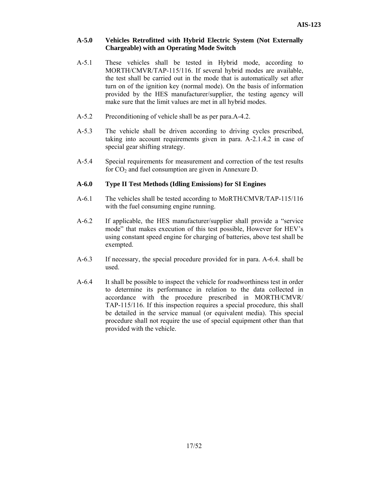## **A-5.0 Vehicles Retrofitted with Hybrid Electric System (Not Externally Chargeable) with an Operating Mode Switch**

- A-5.1 These vehicles shall be tested in Hybrid mode, according to MORTH/CMVR/TAP-115/116. If several hybrid modes are available, the test shall be carried out in the mode that is automatically set after turn on of the ignition key (normal mode). On the basis of information provided by the HES manufacturer/supplier, the testing agency will make sure that the limit values are met in all hybrid modes.
- A-5.2 Preconditioning of vehicle shall be as per para.A-4.2.
- A-5.3 The vehicle shall be driven according to driving cycles prescribed, taking into account requirements given in para. A-2.1.4.2 in case of special gear shifting strategy.
- A-5.4 Special requirements for measurement and correction of the test results for  $CO<sub>2</sub>$  and fuel consumption are given in Annexure D.

# **A-6.0 Type II Test Methods (Idling Emissions) for SI Engines**

- A-6.1 The vehicles shall be tested according to MoRTH/CMVR/TAP-115/116 with the fuel consuming engine running.
- A-6.2 If applicable, the HES manufacturer/supplier shall provide a "service mode" that makes execution of this test possible, However for HEV's using constant speed engine for charging of batteries, above test shall be exempted.
- A-6.3 If necessary, the special procedure provided for in para. A-6.4. shall be used.
- A-6.4 It shall be possible to inspect the vehicle for roadworthiness test in order to determine its performance in relation to the data collected in accordance with the procedure prescribed in MORTH/CMVR/ TAP-115/116. If this inspection requires a special procedure, this shall be detailed in the service manual (or equivalent media). This special procedure shall not require the use of special equipment other than that provided with the vehicle.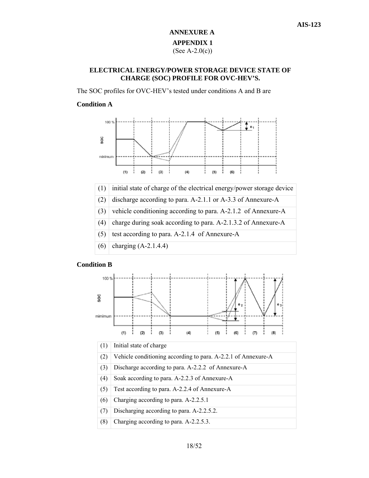# **ANNEXURE A APPENDIX 1**  (See A-2.0(c))

# **ELECTRICAL ENERGY/POWER STORAGE DEVICE STATE OF CHARGE (SOC) PROFILE FOR OVC-HEV'S.**

The SOC profiles for OVC-HEV's tested under conditions A and B are

# **Condition A**



- (3) vehicle conditioning according to para. A-2.1.2 of Annexure-A
- (4) charge during soak according to para. A-2.1.3.2 of Annexure-A
- (5) test according to para. A-2.1.4 of Annexure-A
- (6) charging (A-2.1.4.4)

#### **Condition B**

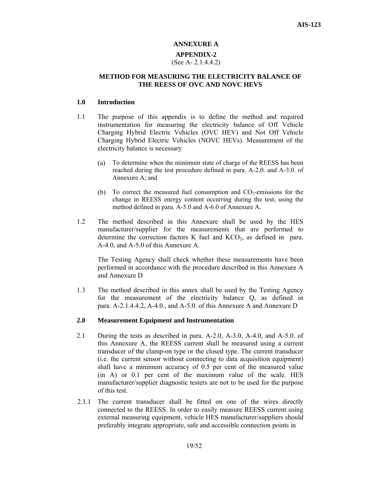# **ANNEXURE A APPENDIX-2**  (See A- 2.1.4.4.2)

# **METHOD FOR MEASURING THE ELECTRICITY BALANCE OF THE REESS OF OVC AND NOVC HEVS**

#### **1.0 Introduction**

- 1.1 The purpose of this appendix is to define the method and required instrumentation for measuring the electricity balance of Off Vehicle Charging Hybrid Electric Vehicles (OVC HEV) and Not Off Vehicle Charging Hybrid Electric Vehicles (NOVC HEVs). Measurement of the electricity balance is necessary
	- (a) To determine when the minimum state of charge of the REESS has been reached during the test procedure defined in para. A-2.0. and A-3.0. of Annexure A; and
	- (b) To correct the measured fuel consumption and  $CO<sub>2</sub>$ -emissions for the change in REESS energy content occurring during the test, using the method defined in para. A-5.0 and A-6.0 of Annexure A.
- 1.2 The method described in this Annexure shall be used by the HES manufacturer/supplier for the measurements that are performed to determine the correction factors K fuel and  $KCO<sub>2</sub>$ , as defined in para. A-4.0, and A-5.0 of this Annexure A.

The Testing Agency shall check whether these measurements have been performed in accordance with the procedure described in this Annexure A and Annexure D

1.3 The method described in this annex shall be used by the Testing Agency for the measurement of the electricity balance Q, as defined in para. A-2.1.4.4.2, A-4.0., and A-5.0. of this Annexure A and Annexure D

#### **2.0 Measurement Equipment and Instrumentation**

- 2.1 During the tests as described in para. A-2.0, A-3.0, A-4.0, and A-5.0. of this Annexure A, the REESS current shall be measured using a current transducer of the clamp-on type or the closed type. The current transducer (i.e. the current sensor without connecting to data acquisition equipment) shall have a minimum accuracy of 0.5 per cent of the measured value (in A) or 0.1 per cent of the maximum value of the scale. HES manufacturer/supplier diagnostic testers are not to be used for the purpose of this test.
- 2.1.1 The current transducer shall be fitted on one of the wires directly connected to the REESS. In order to easily measure REESS current using external measuring equipment, vehicle HES manufacturer/suppliers should preferably integrate appropriate, safe and accessible connection points in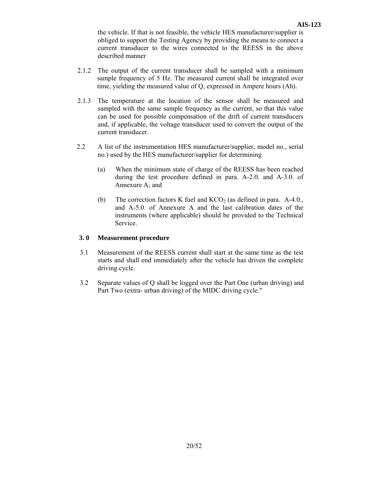the vehicle. If that is not feasible, the vehicle HES manufacturer/supplier is obliged to support the Testing Agency by providing the means to connect a current transducer to the wires connected to the REESS in the above described manner

- 2.1.2 The output of the current transducer shall be sampled with a minimum sample frequency of 5 Hz. The measured current shall be integrated over time, yielding the measured value of Q, expressed in Ampere hours (Ah).
- 2.1.3 The temperature at the location of the sensor shall be measured and sampled with the same sample frequency as the current, so that this value can be used for possible compensation of the drift of current transducers and, if applicable, the voltage transducer used to convert the output of the current transducer.
- 2.2 A list of the instrumentation HES manufacturer/supplier, model no., serial no.) used by the HES manufacturer/supplier for determining
	- (a) When the minimum state of charge of the REESS has been reached during the test procedure defined in para. A-2.0. and A-3.0. of Annexure A; and
	- (b) The correction factors K fuel and  $KCO<sub>2</sub>$  (as defined in para. A-4.0., and A-5.0. of Annexure A and the last calibration dates of the instruments (where applicable) should be provided to the Technical Service.

# **3. 0 Measurement procedure**

- 3.1 Measurement of the REESS current shall start at the same time as the test starts and shall end immediately after the vehicle has driven the complete driving cycle.
- 3.2 Separate values of Q shall be logged over the Part One (urban driving) and Part Two (extra- urban driving) of the MIDC driving cycle."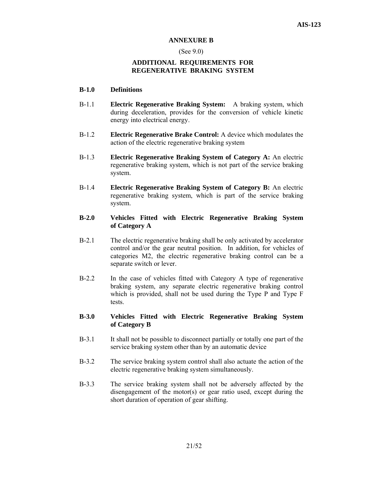#### **ANNEXURE B**

#### (See 9.0)

# **ADDITIONAL REQUIREMENTS FOR REGENERATIVE BRAKING SYSTEM**

#### **B-1.0 Definitions**

- B-1.1 **Electric Regenerative Braking System:** A braking system, which during deceleration, provides for the conversion of vehicle kinetic energy into electrical energy.
- B-1.2 **Electric Regenerative Brake Control:** A device which modulates the action of the electric regenerative braking system
- B-1.3 **Electric Regenerative Braking System of Category A:** An electric regenerative braking system, which is not part of the service braking system.
- B-1.4 **Electric Regenerative Braking System of Category B:** An electric regenerative braking system, which is part of the service braking system.

# **B-2.0 Vehicles Fitted with Electric Regenerative Braking System of Category A**

- B-2.1 The electric regenerative braking shall be only activated by accelerator control and/or the gear neutral position. In addition, for vehicles of categories M2, the electric regenerative braking control can be a separate switch or lever.
- B-2.2 In the case of vehicles fitted with Category A type of regenerative braking system, any separate electric regenerative braking control which is provided, shall not be used during the Type P and Type F tests.

# **B-3.0 Vehicles Fitted with Electric Regenerative Braking System of Category B**

- B-3.1 It shall not be possible to disconnect partially or totally one part of the service braking system other than by an automatic device
- B-3.2 The service braking system control shall also actuate the action of the electric regenerative braking system simultaneously.
- B-3.3 The service braking system shall not be adversely affected by the disengagement of the motor(s) or gear ratio used, except during the short duration of operation of gear shifting.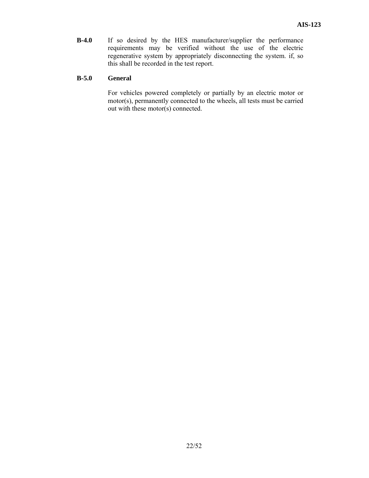**B-4.0** If so desired by the HES manufacturer/supplier the performance requirements may be verified without the use of the electric regenerative system by appropriately disconnecting the system. if, so this shall be recorded in the test report.

# **B-5.0 General**

For vehicles powered completely or partially by an electric motor or motor(s), permanently connected to the wheels, all tests must be carried out with these motor(s) connected.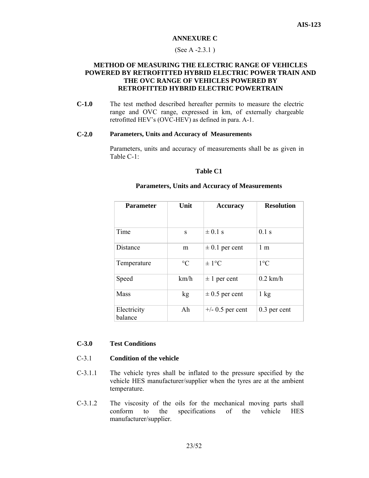#### **ANNEXURE C**

#### (See A -2.3.1 )

# **METHOD OF MEASURING THE ELECTRIC RANGE OF VEHICLES POWERED BY RETROFITTED HYBRID ELECTRIC POWER TRAIN AND THE OVC RANGE OF VEHICLES POWERED BY RETROFITTED HYBRID ELECTRIC POWERTRAIN**

**C-1.0** The test method described hereafter permits to measure the electric range and OVC range, expressed in km, of externally chargeable retrofitted HEV's (OVC-HEV) as defined in para. A-1.

#### **C-2.0 Parameters, Units and Accuracy of Measurements**

Parameters, units and accuracy of measurements shall be as given in Table C-1:

#### **Table C1**

| <b>Parameter</b>       | Unit            | <b>Accuracy</b>    | <b>Resolution</b> |
|------------------------|-----------------|--------------------|-------------------|
| Time                   | S               | $\pm$ 0.1 s        | 0.1 s             |
| Distance               | m               | $\pm 0.1$ per cent | 1 <sub>m</sub>    |
| Temperature            | $\rm ^{\circ}C$ | $\pm 1$ °C         | $1^{\circ}C$      |
| Speed                  | km/h            | $\pm$ 1 per cent   | $0.2$ km/h        |
| Mass                   | kg              | $\pm$ 0.5 per cent | $1 \text{ kg}$    |
| Electricity<br>balance | Ah              | $+/-$ 0.5 per cent | $0.3$ per cent    |

#### **Parameters, Units and Accuracy of Measurements**

### **C-3.0 Test Conditions**

# C-3.1 **Condition of the vehicle**

- C-3.1.1 The vehicle tyres shall be inflated to the pressure specified by the vehicle HES manufacturer/supplier when the tyres are at the ambient temperature.
- C-3.1.2 The viscosity of the oils for the mechanical moving parts shall conform to the specifications of the vehicle HES manufacturer/supplier.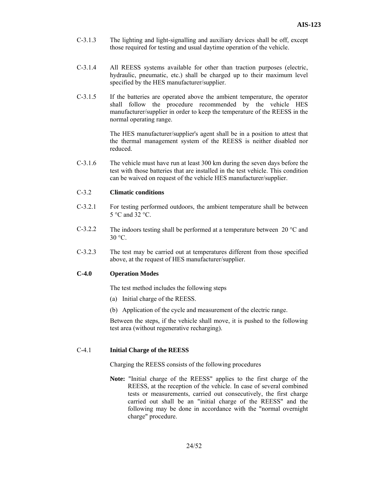- C-3.1.3 The lighting and light-signalling and auxiliary devices shall be off, except those required for testing and usual daytime operation of the vehicle.
- C-3.1.4 All REESS systems available for other than traction purposes (electric, hydraulic, pneumatic, etc.) shall be charged up to their maximum level specified by the HES manufacturer/supplier.
- C-3.1.5 If the batteries are operated above the ambient temperature, the operator shall follow the procedure recommended by the vehicle HES manufacturer/supplier in order to keep the temperature of the REESS in the normal operating range.

 The HES manufacturer/supplier's agent shall be in a position to attest that the thermal management system of the REESS is neither disabled nor reduced.

C-3.1.6 The vehicle must have run at least 300 km during the seven days before the test with those batteries that are installed in the test vehicle. This condition can be waived on request of the vehicle HES manufacturer/supplier.

#### C-3.2 **Climatic conditions**

- C-3.2.1 For testing performed outdoors, the ambient temperature shall be between  $5^{\circ}$ C and 32  $^{\circ}$ C.
- C-3.2.2 The indoors testing shall be performed at a temperature between 20  $^{\circ}$ C and  $30 °C$ .
- C-3.2.3 The test may be carried out at temperatures different from those specified above, at the request of HES manufacturer/supplier.

#### **C-4.0 Operation Modes**

The test method includes the following steps

- (a) Initial charge of the REESS.
- (b) Application of the cycle and measurement of the electric range.

Between the steps, if the vehicle shall move, it is pushed to the following test area (without regenerative recharging).

#### C-4.1 **Initial Charge of the REESS**

Charging the REESS consists of the following procedures

**Note:** "Initial charge of the REESS" applies to the first charge of the REESS, at the reception of the vehicle. In case of several combined tests or measurements, carried out consecutively, the first charge carried out shall be an "initial charge of the REESS" and the following may be done in accordance with the "normal overnight charge" procedure.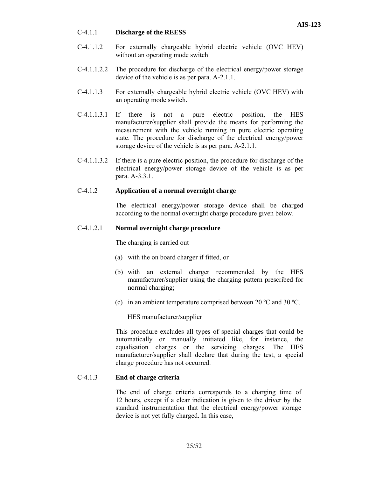### C-4.1.1 **Discharge of the REESS**

- C-4.1.1.2 For externally chargeable hybrid electric vehicle (OVC HEV) without an operating mode switch
- C-4.1.1.2.2 The procedure for discharge of the electrical energy/power storage device of the vehicle is as per para. A-2.1.1.
- C-4.1.1.3 For externally chargeable hybrid electric vehicle (OVC HEV) with an operating mode switch.
- C-4.1.1.3.1 If there is not a pure electric position, the HES manufacturer/supplier shall provide the means for performing the measurement with the vehicle running in pure electric operating state. The procedure for discharge of the electrical energy/power storage device of the vehicle is as per para. A-2.1.1.
- C-4.1.1.3.2 If there is a pure electric position, the procedure for discharge of the electrical energy/power storage device of the vehicle is as per para. A-3.3.1.

# C-4.1.2 **Application of a normal overnight charge**

 The electrical energy/power storage device shall be charged according to the normal overnight charge procedure given below.

# C-4.1.2.1 **Normal overnight charge procedure**

The charging is carried out

- (a) with the on board charger if fitted, or
- (b) with an external charger recommended by the HES manufacturer/supplier using the charging pattern prescribed for normal charging;
- (c) in an ambient temperature comprised between 20 ºC and 30 ºC.

HES manufacturer/supplier

 This procedure excludes all types of special charges that could be automatically or manually initiated like, for instance, the equalisation charges or the servicing charges. The HES manufacturer/supplier shall declare that during the test, a special charge procedure has not occurred.

#### C-4.1.3 **End of charge criteria**

 The end of charge criteria corresponds to a charging time of 12 hours, except if a clear indication is given to the driver by the standard instrumentation that the electrical energy/power storage device is not yet fully charged. In this case,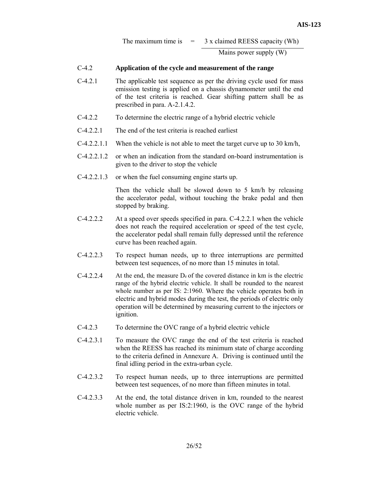The maximum time is  $= 3 \times$  claimed REESS capacity (Wh)

Mains power supply (W)

# C-4.2 **Application of the cycle and measurement of the range**

- C-4.2.1 The applicable test sequence as per the driving cycle used for mass emission testing is applied on a chassis dynamometer until the end of the test criteria is reached. Gear shifting pattern shall be as prescribed in para. A-2.1.4.2.
- C-4.2.2 To determine the electric range of a hybrid electric vehicle
- C-4.2.2.1 The end of the test criteria is reached earliest
- $C-4.2.2.1.1$  When the vehicle is not able to meet the target curve up to 30 km/h,
- C-4.2.2.1.2 or when an indication from the standard on-board instrumentation is given to the driver to stop the vehicle
- C-4.2.2.1.3 or when the fuel consuming engine starts up.

 Then the vehicle shall be slowed down to 5 km/h by releasing the accelerator pedal, without touching the brake pedal and then stopped by braking.

- C-4.2.2.2 At a speed over speeds specified in para. C-4.2.2.1 when the vehicle does not reach the required acceleration or speed of the test cycle, the accelerator pedal shall remain fully depressed until the reference curve has been reached again.
- C-4.2.2.3 To respect human needs, up to three interruptions are permitted between test sequences, of no more than 15 minutes in total.
- $C-4.2.2.4$  At the end, the measure De of the covered distance in km is the electric range of the hybrid electric vehicle. It shall be rounded to the nearest whole number as per IS: 2:1960. Where the vehicle operates both in electric and hybrid modes during the test, the periods of electric only operation will be determined by measuring current to the injectors or ignition.
- C-4.2.3 To determine the OVC range of a hybrid electric vehicle
- C-4.2.3.1 To measure the OVC range the end of the test criteria is reached when the REESS has reached its minimum state of charge according to the criteria defined in Annexure A. Driving is continued until the final idling period in the extra-urban cycle.
- C-4.2.3.2 To respect human needs, up to three interruptions are permitted between test sequences, of no more than fifteen minutes in total.
- C-4.2.3.3 At the end, the total distance driven in km, rounded to the nearest whole number as per IS:2:1960, is the OVC range of the hybrid electric vehicle.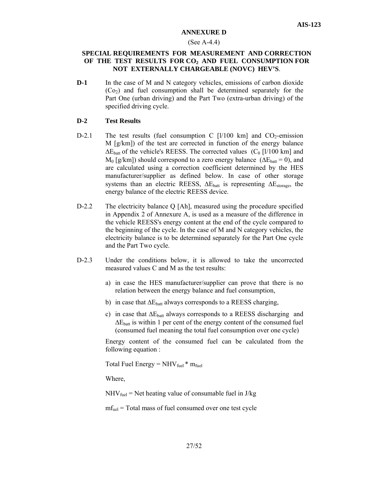#### **ANNEXURE D**

#### (See A-4.4)

### **SPECIAL REQUIREMENTS FOR MEASUREMENT AND CORRECTION**  OF THE TEST RESULTS FOR CO<sub>2</sub> AND FUEL CONSUMPTION FOR **NOT EXTERNALLY CHARGEABLE (NOVC) HEV'S**.

**D-1** In the case of M and N category vehicles, emissions of carbon dioxide  $(Co<sub>2</sub>)$  and fuel consumption shall be determined separately for the Part One (urban driving) and the Part Two (extra-urban driving) of the specified driving cycle.

# **D-2 Test Results**

- D-2.1 The test results (fuel consumption C  $\left[\frac{1}{100 \text{ km}}\right]$  and CO<sub>2</sub>-emission M [g/km]) of the test are corrected in function of the energy balance  $\Delta E_{\text{batt}}$  of the vehicle's REESS. The corrected values (C<sub>0</sub> [l/100 km] and  $M_0$  [g/km]) should correspond to a zero energy balance ( $\Delta E_{\text{batt}} = 0$ ), and are calculated using a correction coefficient determined by the HES manufacturer/supplier as defined below. In case of other storage systems than an electric REESS,  $\Delta E_{\text{batt}}$  is representing  $\Delta E_{\text{storage}}$ , the energy balance of the electric REESS device.
- D-2.2 The electricity balance Q [Ah], measured using the procedure specified in Appendix 2 of Annexure A, is used as a measure of the difference in the vehicle REESS's energy content at the end of the cycle compared to the beginning of the cycle. In the case of M and N category vehicles, the electricity balance is to be determined separately for the Part One cycle and the Part Two cycle.
- D-2.3 Under the conditions below, it is allowed to take the uncorrected measured values C and M as the test results:
	- a) in case the HES manufacturer/supplier can prove that there is no relation between the energy balance and fuel consumption,
	- b) in case that  $\Delta E_{\text{batt}}$  always corresponds to a REESS charging,
	- c) in case that  $\Delta E_{\text{batt}}$  always corresponds to a REESS discharging and  $\Delta E_{\text{batt}}$  is within 1 per cent of the energy content of the consumed fuel (consumed fuel meaning the total fuel consumption over one cycle)

 Energy content of the consumed fuel can be calculated from the following equation :

Total Fuel Energy =  $NHV_{fuel}$  \*  $m_{fuel}$ 

Where,

 $NHV_{fuel}$  = Net heating value of consumable fuel in J/kg

 $m f_{\text{uel}}$  = Total mass of fuel consumed over one test cycle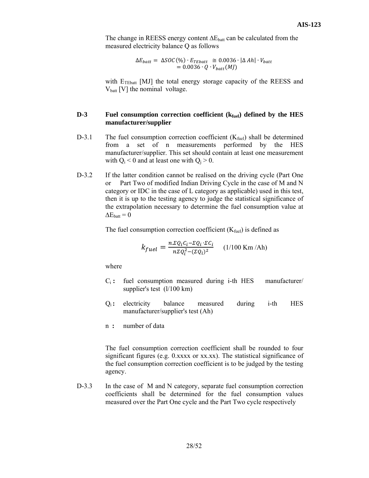The change in REESS energy content  $\Delta E_{\text{batt}}$  can be calculated from the measured electricity balance Q as follows

> $\Delta E_{batt} = \Delta SOC(\%) \cdot E_{Tebatt} \cong 0.0036 \cdot |\Delta Ah| \cdot V_{batt}$  $= 0.0036 \cdot Q \cdot V_{batt}(MJ)$

with E<sub>TEbatt</sub> [MJ] the total energy storage capacity of the REESS and  $V_{\text{batt}}$  [V] the nominal voltage.

#### **D-3** Fuel consumption correction coefficient ( $k_{fuel}$ ) defined by the HES **manufacturer/supplier**

- D-3.1 The fuel consumption correction coefficient  $(K_{\text{fuel}})$  shall be determined from a set of n measurements performed by the HES manufacturer/supplier. This set should contain at least one measurement with  $Q_i < 0$  and at least one with  $Q_i > 0$ .
- D-3.2 If the latter condition cannot be realised on the driving cycle (Part One or Part Two of modified Indian Driving Cycle in the case of M and N category or IDC in the case of L category as applicable) used in this test, then it is up to the testing agency to judge the statistical significance of the extrapolation necessary to determine the fuel consumption value at  $\Delta E_{\text{batt}} = 0$

The fuel consumption correction coefficient  $(K_{fuel})$  is defined as

$$
k_{fuel} = \frac{n \Sigma Q_i C_i - \Sigma Q_i \cdot \Sigma C_i}{n \Sigma Q_i^2 - (\Sigma Q_i)^2}
$$
 (1/100 Km/Ah)

where

- Ci **:** fuel consumption measured during i-th HES manufacturer/ supplier's test (l/100 km)
- Q<sub>i</sub>: electricity balance measured during i-th HES manufacturer/supplier's test (Ah)
- n **:** number of data

The fuel consumption correction coefficient shall be rounded to four significant figures (e.g. 0.xxxx or xx.xx). The statistical significance of the fuel consumption correction coefficient is to be judged by the testing agency.

D-3.3 In the case of M and N category, separate fuel consumption correction coefficients shall be determined for the fuel consumption values measured over the Part One cycle and the Part Two cycle respectively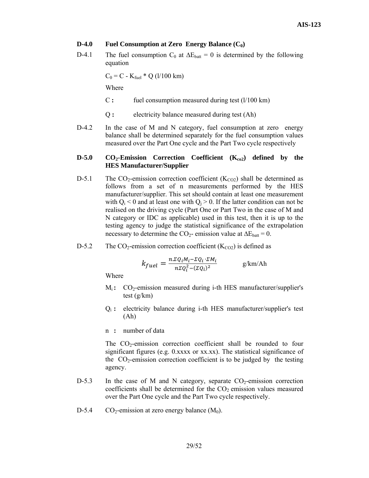### **D-4.0** Fuel Consumption at Zero Energy Balance  $(C_0)$

D-4.1 The fuel consumption C<sub>0</sub> at  $\Delta E_{\text{batt}} = 0$  is determined by the following equation

 $C_0 = C - K_{fuel} * Q$  (1/100 km)

Where

- C **:** fuel consumption measured during test (l/100 km)
- Q **:** electricity balance measured during test (Ah)
- D-4.2 In the case of M and N category, fuel consumption at zero energy balance shall be determined separately for the fuel consumption values measured over the Part One cycle and the Part Two cycle respectively

#### D-5.0 CO<sub>2</sub>-Emission Correction Coefficient (K<sub>co2</sub>) defined by the **HES Manufacturer/Supplier**

- D-5.1 The  $CO_2$ -emission correction coefficient (K<sub>CO2</sub>) shall be determined as follows from a set of n measurements performed by the HES manufacturer/supplier. This set should contain at least one measurement with  $Q_i < 0$  and at least one with  $Q_i > 0$ . If the latter condition can not be realised on the driving cycle (Part One or Part Two in the case of M and N category or IDC as applicable) used in this test, then it is up to the testing agency to judge the statistical significance of the extrapolation necessary to determine the CO<sub>2</sub>- emission value at  $\Delta E_{\text{batt}} = 0$ .
- D-5.2 The  $CO_2$ -emission correction coefficient ( $K_{CO2}$ ) is defined as

$$
k_{fuel} = \frac{n \Sigma Q_i M_i - \Sigma Q_i \cdot \Sigma M_i}{n \Sigma Q_i^2 - (\Sigma Q_i)^2}
$$
 g/km/Ah

Where

- M<sub>i</sub>: CO<sub>2</sub>-emission measured during i-th HES manufacturer/supplier's test (g/km)
- Qi **:** electricity balance during i-th HES manufacturer/supplier's test (Ah)
- n **:** number of data

The  $CO<sub>2</sub>$ -emission correction coefficient shall be rounded to four significant figures (e.g. 0.xxxx or xx.xx). The statistical significance of the  $CO<sub>2</sub>$ -emission correction coefficient is to be judged by the testing agency.

- $D-5.3$  In the case of M and N category, separate  $CO<sub>2</sub>$ -emission correction coefficients shall be determined for the  $CO<sub>2</sub>$  emission values measured over the Part One cycle and the Part Two cycle respectively.
- D-5.4  $CO_2$ -emission at zero energy balance  $(M_0)$ .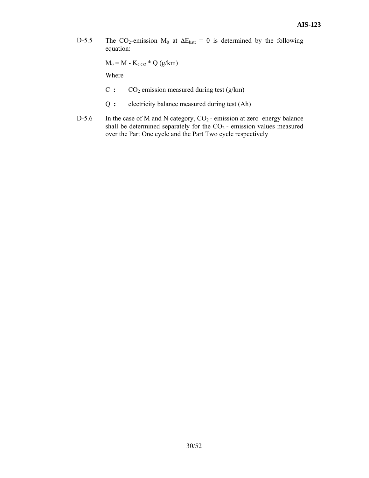D-5.5 The CO<sub>2</sub>-emission M<sub>0</sub> at  $\Delta E_{\text{batt}} = 0$  is determined by the following equation:

 $M_0 = M - K_{CO2} * Q (g/km)$ 

Where

- $C: CO<sub>2</sub>$  emission measured during test (g/km)
- Q **:** electricity balance measured during test (Ah)
- D-5.6 In the case of M and N category,  $CO_2$  emission at zero energy balance shall be determined separately for the  $CO<sub>2</sub>$  - emission values measured over the Part One cycle and the Part Two cycle respectively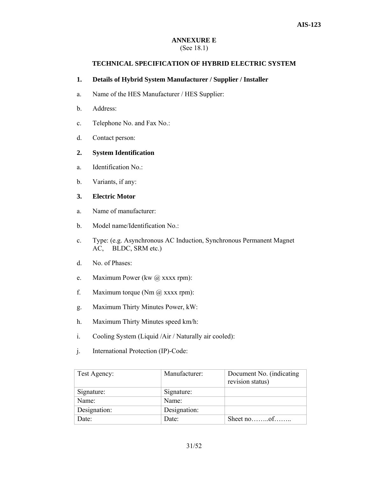#### **ANNEXURE E**  (See 18.1)

# **TECHNICAL SPECIFICATION OF HYBRID ELECTRIC SYSTEM**

### **1. Details of Hybrid System Manufacturer / Supplier / Installer**

- a. Name of the HES Manufacturer / HES Supplier:
- b. Address:
- c. Telephone No. and Fax No.:
- d. Contact person:

### **2. System Identification**

- a. Identification No.:
- b. Variants, if any:

# **3. Electric Motor**

- a. Name of manufacturer:
- b. Model name/Identification No.:
- c. Type: (e.g. Asynchronous AC Induction, Synchronous Permanent Magnet AC, BLDC, SRM etc.)
- d. No. of Phases:
- e. Maximum Power (kw @ xxxx rpm):
- f. Maximum torque  $(Nm \omega)$  xxxx rpm):
- g. Maximum Thirty Minutes Power, kW:
- h. Maximum Thirty Minutes speed km/h:
- i. Cooling System (Liquid /Air / Naturally air cooled):
- j. International Protection (IP)-Code:

| Test Agency: | Manufacturer: | Document No. (indicating<br>revision status) |
|--------------|---------------|----------------------------------------------|
| Signature:   | Signature:    |                                              |
| Name:        | Name:         |                                              |
| Designation: | Designation:  |                                              |
| Date:        | Date:         | Sheet no $\ldots$ of $\ldots$                |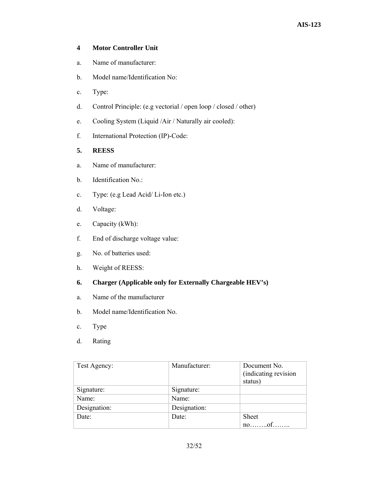# **4 Motor Controller Unit**

- a. Name of manufacturer:
- b. Model name/Identification No:
- c. Type:
- d. Control Principle: (e.g vectorial / open loop / closed / other)
- e. Cooling System (Liquid /Air / Naturally air cooled):
- f. International Protection (IP)-Code:

# **5. REESS**

- a. Name of manufacturer:
- b. Identification No.:
- c. Type: (e.g Lead Acid/ Li-Ion etc.)
- d. Voltage:
- e. Capacity (kWh):
- f. End of discharge voltage value:
- g. No. of batteries used:
- h. Weight of REESS:
- **6. Charger (Applicable only for Externally Chargeable HEV's)**
- a. Name of the manufacturer
- b. Model name/Identification No.
- c. Type
- d. Rating

| Test Agency: | Manufacturer: | Document No.<br>(indicating revision<br>status) |
|--------------|---------------|-------------------------------------------------|
|              |               |                                                 |
| Signature:   | Signature:    |                                                 |
| Name:        | Name:         |                                                 |
| Designation: | Designation:  |                                                 |
| Date:        | Date:         | <b>Sheet</b>                                    |
|              |               | $no$ of                                         |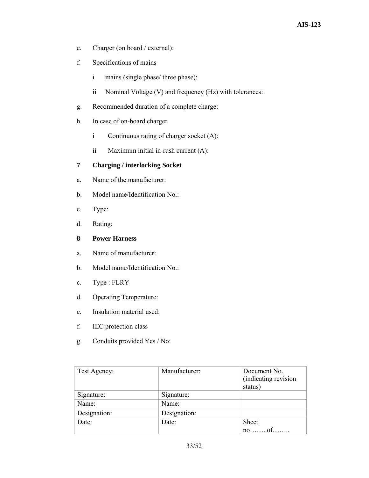- e. Charger (on board / external):
- f. Specifications of mains
	- i mains (single phase/ three phase):
	- ii Nominal Voltage (V) and frequency (Hz) with tolerances:
- g. Recommended duration of a complete charge:
- h. In case of on-board charger
	- i Continuous rating of charger socket (A):
	- ii Maximum initial in-rush current (A):

# **7 Charging / interlocking Socket**

- a. Name of the manufacturer:
- b. Model name/Identification No.:
- c. Type:
- d. Rating:

# **8 Power Harness**

- a. Name of manufacturer:
- b. Model name/Identification No.:
- c. Type : FLRY
- d. Operating Temperature:
- e. Insulation material used:
- f. IEC protection class
- g. Conduits provided Yes / No:

| Test Agency: | Manufacturer: | Document No.<br>(indicating revision<br>status) |
|--------------|---------------|-------------------------------------------------|
| Signature:   | Signature:    |                                                 |
| Name:        | Name:         |                                                 |
| Designation: | Designation:  |                                                 |
| Date:        | Date:         | <b>Sheet</b>                                    |
|              |               | $no \dots o f \dots o$                          |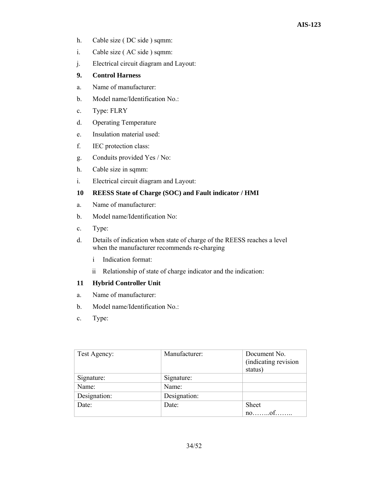- h. Cable size ( DC side ) sqmm:
- i. Cable size ( AC side ) sqmm:
- j. Electrical circuit diagram and Layout:

# **9. Control Harness**

- a. Name of manufacturer:
- b. Model name/Identification No.:
- c. Type: FLRY
- d. Operating Temperature
- e. Insulation material used:
- f. IEC protection class:
- g. Conduits provided Yes / No:
- h. Cable size in sqmm:
- i. Electrical circuit diagram and Layout:

# **10 REESS State of Charge (SOC) and Fault indicator / HMI**

- a. Name of manufacturer:
- b. Model name/Identification No:
- c. Type:
- d. Details of indication when state of charge of the REESS reaches a level when the manufacturer recommends re-charging
	- i Indication format:
	- ii Relationship of state of charge indicator and the indication:

#### **11 Hybrid Controller Unit**

- a. Name of manufacturer:
- b. Model name/Identification No.:
- c. Type:

| Test Agency: | Manufacturer: | Document No.<br>(indicating revision<br>status) |
|--------------|---------------|-------------------------------------------------|
| Signature:   | Signature:    |                                                 |
| Name:        | Name:         |                                                 |
| Designation: | Designation:  |                                                 |
| Date:        | Date:         | <b>Sheet</b>                                    |
|              |               | noof                                            |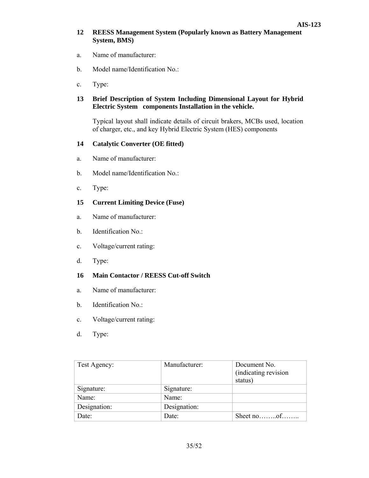# **12 REESS Management System (Popularly known as Battery Management System, BMS)**

- a. Name of manufacturer:
- b. Model name/Identification No.:
- c. Type:

# **13 Brief Description of System Including Dimensional Layout for Hybrid Electric System components Installation in the vehicle.**

Typical layout shall indicate details of circuit brakers, MCBs used, location of charger, etc., and key Hybrid Electric System (HES) components

# **14 Catalytic Converter (OE fitted)**

- a. Name of manufacturer:
- b. Model name/Identification No.:
- c. Type:

# **15 Current Limiting Device (Fuse)**

- a. Name of manufacturer:
- b. Identification No.:
- c. Voltage/current rating:
- d. Type:

# **16 Main Contactor / REESS Cut-off Switch**

- a. Name of manufacturer:
- b. Identification No.:
- c. Voltage/current rating:
- d. Type:

| Test Agency: | Manufacturer: | Document No.                |
|--------------|---------------|-----------------------------|
|              |               | (indicating revision        |
|              |               | status)                     |
| Signature:   | Signature:    |                             |
| Name:        | Name:         |                             |
| Designation: | Designation:  |                             |
| Date:        | Date:         | Sheet no $\dots$ of $\dots$ |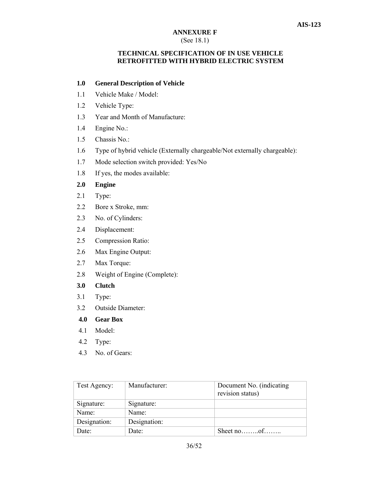# **ANNEXURE F**

# (See 18.1)

# **TECHNICAL SPECIFICATION OF IN USE VEHICLE RETROFITTED WITH HYBRID ELECTRIC SYSTEM**

# **1.0 General Description of Vehicle**

- 1.1 Vehicle Make / Model:
- 1.2 Vehicle Type:
- 1.3 Year and Month of Manufacture:
- 1.4 Engine No.:
- 1.5 Chassis No.:
- 1.6 Type of hybrid vehicle (Externally chargeable/Not externally chargeable):
- 1.7 Mode selection switch provided: Yes/No
- 1.8 If yes, the modes available:

# **2.0 Engine**

- 2.1 Type:
- 2.2 Bore x Stroke, mm:
- 2.3 No. of Cylinders:
- 2.4 Displacement:
- 2.5 Compression Ratio:
- 2.6 Max Engine Output:
- 2.7 Max Torque:
- 2.8 Weight of Engine (Complete):
- **3.0 Clutch**
- 3.1 Type:
- 3.2 Outside Diameter:
- **4.0 Gear Box**
- 4.1 Model:
- 4.2 Type:
- 4.3 No. of Gears:

| Test Agency: | Manufacturer: | Document No. (indicating<br>revision status) |
|--------------|---------------|----------------------------------------------|
| Signature:   | Signature:    |                                              |
| Name:        | Name:         |                                              |
| Designation: | Designation:  |                                              |
| Date:        | Date:         | Sheet no $\dots$ of $\dots$                  |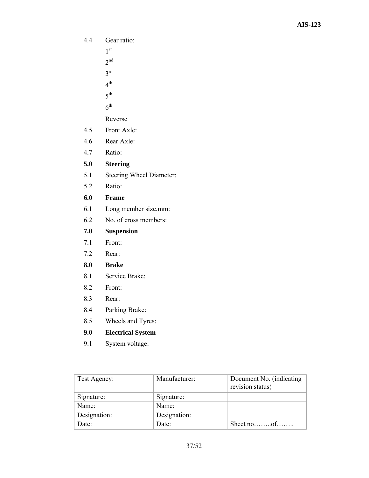4.4 Gear ratio:

1st

- $2<sup>nd</sup>$
- $3<sup>rd</sup>$
- $4^{\text{th}}$
- $5<sup>th</sup>$
- $6<sup>th</sup>$

Reverse

- 4.5 Front Axle:
- 4.6 Rear Axle:
- 4.7 Ratio:

# **5.0 Steering**

- 5.1 Steering Wheel Diameter:
- 5.2 Ratio:

# **6.0 Frame**

- 6.1 Long member size,mm:
- 6.2 No. of cross members:

# **7.0 Suspension**

- 7.1 Front:
- 7.2 Rear:

# **8.0 Brake**

- 8.1 Service Brake:
- 8.2 Front:
- 8.3 Rear:
- 8.4 Parking Brake:
- 8.5 Wheels and Tyres:

# **9.0 Electrical System**

9.1 System voltage:

| Test Agency: | Manufacturer: | Document No. (indicating<br>revision status) |
|--------------|---------------|----------------------------------------------|
| Signature:   | Signature:    |                                              |
| Name:        | Name:         |                                              |
| Designation: | Designation:  |                                              |
| Date:        | Date:         |                                              |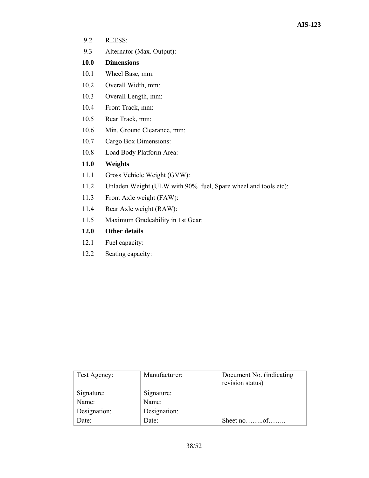- 9.2 REESS:
- 9.3 Alternator (Max. Output):

# **10.0 Dimensions**

- 10.1 Wheel Base, mm:
- 10.2 Overall Width, mm:
- 10.3 Overall Length, mm:
- 10.4 Front Track, mm:
- 10.5 Rear Track, mm:
- 10.6 Min. Ground Clearance, mm:
- 10.7 Cargo Box Dimensions:
- 10.8 Load Body Platform Area:

# **11.0 Weights**

- 11.1 Gross Vehicle Weight (GVW):
- 11.2 Unladen Weight (ULW with 90% fuel, Spare wheel and tools etc):
- 11.3 Front Axle weight (FAW):
- 11.4 Rear Axle weight (RAW):
- 11.5 Maximum Gradeability in 1st Gear:

# **12.0 Other details**

- 12.1 Fuel capacity:
- 12.2 Seating capacity:

| Test Agency: | Manufacturer: | Document No. (indicating<br>revision status) |
|--------------|---------------|----------------------------------------------|
| Signature:   | Signature:    |                                              |
| Name:        | Name:         |                                              |
| Designation: | Designation:  |                                              |
| Date:        | Date:         |                                              |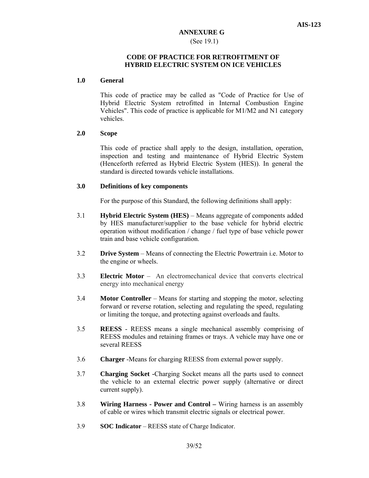# **ANNEXURE G**  (See 19.1)

# **CODE OF PRACTICE FOR RETROFITMENT OF HYBRID ELECTRIC SYSTEM ON ICE VEHICLES**

#### **1.0 General**

This code of practice may be called as "Code of Practice for Use of Hybrid Electric System retrofitted in Internal Combustion Engine Vehicles". This code of practice is applicable for M1/M2 and N1 category vehicles.

# **2.0 Scope**

This code of practice shall apply to the design, installation, operation, inspection and testing and maintenance of Hybrid Electric System (Henceforth referred as Hybrid Electric System (HES)). In general the standard is directed towards vehicle installations.

#### **3.0 Definitions of key components**

For the purpose of this Standard, the following definitions shall apply:

- 3.1 **Hybrid Electric System (HES)** Means aggregate of components added by HES manufacturer/supplier to the base vehicle for hybrid electric operation without modification / change / fuel type of base vehicle power train and base vehicle configuration.
- 3.2 **Drive System** Means of connecting the Electric Powertrain i.e. Motor to the engine or wheels.
- 3.3 **Electric Motor** An electromechanical device that converts electrical energy into mechanical energy
- 3.4 **Motor Controller** Means for starting and stopping the motor, selecting forward or reverse rotation, selecting and regulating the speed, regulating or limiting the torque, and protecting against overloads and faults.
- 3.5 **REESS**  REESS means a single mechanical assembly comprising of REESS modules and retaining frames or trays. A vehicle may have one or several REESS
- 3.6 **Charger** -Means for charging REESS from external power supply.
- 3.7 **Charging Socket -**Charging Socket means all the parts used to connect the vehicle to an external electric power supply (alternative or direct current supply).
- 3.8 **Wiring Harness Power and Control** Wiring harness is an assembly of cable or wires which transmit electric signals or electrical power.
- 3.9 **SOC Indicator** REESS state of Charge Indicator.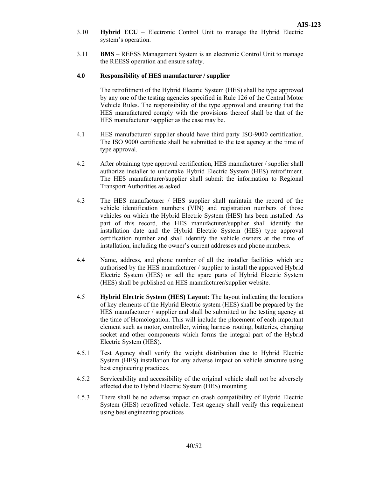- 3.10 **Hybrid ECU** Electronic Control Unit to manage the Hybrid Electric system's operation.
- 3.11 **BMS**  REESS Management System is an electronic Control Unit to manage the REESS operation and ensure safety.

#### **4.0 Responsibility of HES manufacturer / supplier**

 The retrofitment of the Hybrid Electric System (HES) shall be type approved by any one of the testing agencies specified in Rule 126 of the Central Motor Vehicle Rules. The responsibility of the type approval and ensuring that the HES manufactured comply with the provisions thereof shall be that of the HES manufacturer /supplier as the case may be.

- 4.1 HES manufacturer/ supplier should have third party ISO-9000 certification. The ISO 9000 certificate shall be submitted to the test agency at the time of type approval.
- 4.2 After obtaining type approval certification, HES manufacturer / supplier shall authorize installer to undertake Hybrid Electric System (HES) retrofitment. The HES manufacturer/supplier shall submit the information to Regional Transport Authorities as asked.
- 4.3 The HES manufacturer / HES supplier shall maintain the record of the vehicle identification numbers (VIN) and registration numbers of those vehicles on which the Hybrid Electric System (HES) has been installed. As part of this record, the HES manufacturer/supplier shall identify the installation date and the Hybrid Electric System (HES) type approval certification number and shall identify the vehicle owners at the time of installation, including the owner's current addresses and phone numbers.
- 4.4 Name, address, and phone number of all the installer facilities which are authorised by the HES manufacturer / supplier to install the approved Hybrid Electric System (HES) or sell the spare parts of Hybrid Electric System (HES) shall be published on HES manufacturer/supplier website.
- 4.5 **Hybrid Electric System (HES) Layout:** The layout indicating the locations of key elements of the Hybrid Electric system (HES) shall be prepared by the HES manufacturer / supplier and shall be submitted to the testing agency at the time of Homologation. This will include the placement of each important element such as motor, controller, wiring harness routing, batteries, charging socket and other components which forms the integral part of the Hybrid Electric System (HES).
- 4.5.1 Test Agency shall verify the weight distribution due to Hybrid Electric System (HES) installation for any adverse impact on vehicle structure using best engineering practices.
- 4.5.2 Serviceability and accessibility of the original vehicle shall not be adversely affected due to Hybrid Electric System (HES) mounting
- 4.5.3 There shall be no adverse impact on crash compatibility of Hybrid Electric System (HES) retrofitted vehicle. Test agency shall verify this requirement using best engineering practices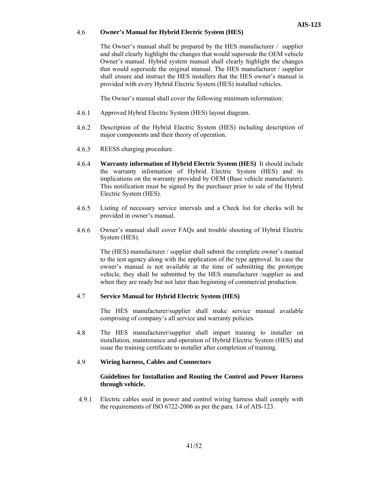#### 4.6 **Owner's Manual for Hybrid Electric System (HES)**

The Owner's manual shall be prepared by the HES manufacturer / supplier and shall clearly highlight the changes that would supersede the OEM vehicle Owner's manual. Hybrid system manual shall clearly highlight the changes that would supersede the original manual. The HES manufacturer / supplier shall ensure and instruct the HES installers that the HES owner's manual is provided with every Hybrid Electric System (HES) installed vehicles.

The Owner's manual shall cover the following minimum information:

- 4.6.1 Approved Hybrid Electric System (HES) layout diagram.
- 4.6.2 Description of the Hybrid Electric System (HES) including description of major components and their theory of operation.
- 4.6.3 REESS charging procedure.
- 4.6.4 **Warranty information of Hybrid Electric System (HES)** It should include the warranty information of Hybrid Electric System (HES) and its implications on the warranty provided by OEM (Base vehicle manufacturer). This notification must be signed by the purchaser prior to sale of the Hybrid Electric System (HES).
- 4.6.5 Listing of necessary service intervals and a Check list for checks will be provided in owner's manual.
- 4.6.6 Owner's manual shall cover FAQs and trouble shooting of Hybrid Electric System (HES).

The (HES) manufacturer / supplier shall submit the complete owner's manual to the test agency along with the application of the type approval. In case the owner's manual is not available at the time of submitting the prototype vehicle, they shall be submitted by the HES manufacturer /supplier as and when they are ready but not later than beginning of commercial production.

#### 4.7 **Service Manual for Hybrid Electric System (HES)**

The HES manufacturer/supplier shall make service manual available comprising of company's all service and warranty policies.

4.8 The HES manufacturer/supplier shall impart training to installer on installation, maintenance and operation of Hybrid Electric System (HES) and issue the training certificate to installer after completion of training.

#### 4.9 **Wiring harness, Cables and Connectors**

#### **Guidelines for Installation and Routing the Control and Power Harness through vehicle.**

4.9.1 Electric cables used in power and control wiring harness shall comply with the requirements of ISO 6722-2006 as per the para. 14 of AIS-123.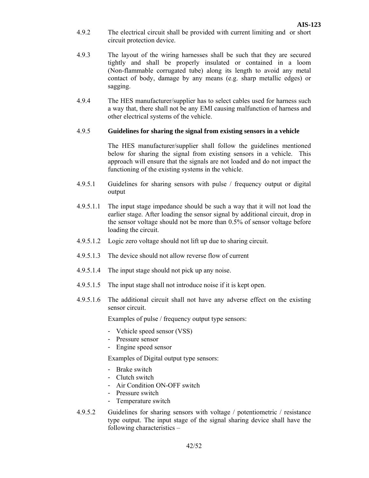- 4.9.2 The electrical circuit shall be provided with current limiting and or short circuit protection device.
- 4.9.3 The layout of the wiring harnesses shall be such that they are secured tightly and shall be properly insulated or contained in a loom (Non-flammable corrugated tube) along its length to avoid any metal contact of body, damage by any means (e.g. sharp metallic edges) or sagging.
- 4.9.4 The HES manufacturer/supplier has to select cables used for harness such a way that, there shall not be any EMI causing malfunction of harness and other electrical systems of the vehicle.

#### 4.9.5 **Guidelines for sharing the signal from existing sensors in a vehicle**

 The HES manufacturer/supplier shall follow the guidelines mentioned below for sharing the signal from existing sensors in a vehicle. This approach will ensure that the signals are not loaded and do not impact the functioning of the existing systems in the vehicle.

- 4.9.5.1 Guidelines for sharing sensors with pulse / frequency output or digital output
- 4.9.5.1.1 The input stage impedance should be such a way that it will not load the earlier stage. After loading the sensor signal by additional circuit, drop in the sensor voltage should not be more than 0.5% of sensor voltage before loading the circuit.
- 4.9.5.1.2 Logic zero voltage should not lift up due to sharing circuit.
- 4.9.5.1.3 The device should not allow reverse flow of current
- 4.9.5.1.4 The input stage should not pick up any noise.
- 4.9.5.1.5 The input stage shall not introduce noise if it is kept open.
- 4.9.5.1.6 The additional circuit shall not have any adverse effect on the existing sensor circuit.

Examples of pulse / frequency output type sensors:

- Vehicle speed sensor (VSS)
- Pressure sensor
- Engine speed sensor

Examples of Digital output type sensors:

- Brake switch
- Clutch switch
- Air Condition ON-OFF switch
- Pressure switch
- Temperature switch
- 4.9.5.2 Guidelines for sharing sensors with voltage / potentiometric / resistance type output. The input stage of the signal sharing device shall have the following characteristics –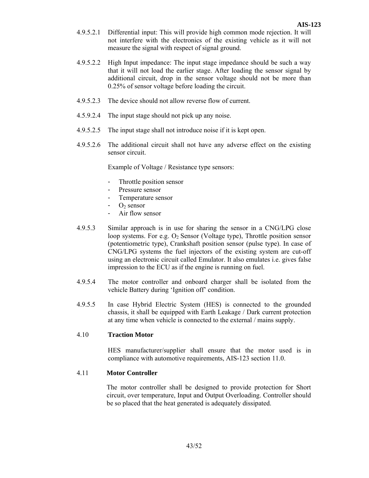- 4.9.5.2.1 Differential input: This will provide high common mode rejection. It will not interfere with the electronics of the existing vehicle as it will not measure the signal with respect of signal ground.
- 4.9.5.2.2 High Input impedance: The input stage impedance should be such a way that it will not load the earlier stage. After loading the sensor signal by additional circuit, drop in the sensor voltage should not be more than 0.25% of sensor voltage before loading the circuit.
- 4.9.5.2.3 The device should not allow reverse flow of current.
- 4.5.9.2.4 The input stage should not pick up any noise.
- 4.9.5.2.5 The input stage shall not introduce noise if it is kept open.
- 4.9.5.2.6 The additional circuit shall not have any adverse effect on the existing sensor circuit.

Example of Voltage / Resistance type sensors:

- Throttle position sensor
- Pressure sensor
- Temperature sensor
- $-O<sub>2</sub>$  sensor
- Air flow sensor
- 4.9.5.3 Similar approach is in use for sharing the sensor in a CNG/LPG close loop systems. For e.g.  $O_2$  Sensor (Voltage type), Throttle position sensor (potentiometric type), Crankshaft position sensor (pulse type). In case of CNG/LPG systems the fuel injectors of the existing system are cut-off using an electronic circuit called Emulator. It also emulates i.e. gives false impression to the ECU as if the engine is running on fuel.
- 4.9.5.4 The motor controller and onboard charger shall be isolated from the vehicle Battery during 'Ignition off' condition.
- 4.9.5.5 In case Hybrid Electric System (HES) is connected to the grounded chassis, it shall be equipped with Earth Leakage / Dark current protection at any time when vehicle is connected to the external / mains supply.

#### 4.10 **Traction Motor**

HES manufacturer/supplier shall ensure that the motor used is in compliance with automotive requirements, AIS-123 section 11.0.

# 4.11 **Motor Controller**

The motor controller shall be designed to provide protection for Short circuit, over temperature, Input and Output Overloading. Controller should be so placed that the heat generated is adequately dissipated.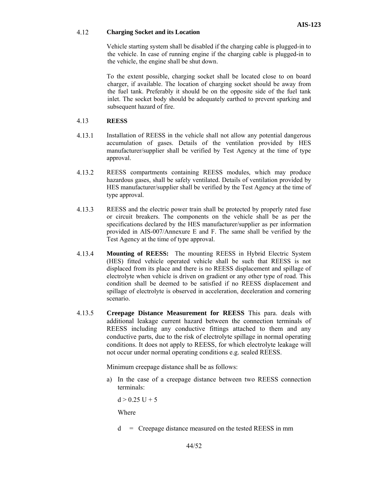#### 4.12 **Charging Socket and its Location**

Vehicle starting system shall be disabled if the charging cable is plugged-in to the vehicle. In case of running engine if the charging cable is plugged-in to the vehicle, the engine shall be shut down.

To the extent possible, charging socket shall be located close to on board charger, if available. The location of charging socket should be away from the fuel tank. Preferably it should be on the opposite side of the fuel tank inlet. The socket body should be adequately earthed to prevent sparking and subsequent hazard of fire.

### 4.13 **REESS**

- 4.13.1 Installation of REESS in the vehicle shall not allow any potential dangerous accumulation of gases. Details of the ventilation provided by HES manufacturer/supplier shall be verified by Test Agency at the time of type approval.
- 4.13.2 REESS compartments containing REESS modules, which may produce hazardous gases, shall be safely ventilated. Details of ventilation provided by HES manufacturer/supplier shall be verified by the Test Agency at the time of type approval.
- 4.13.3 REESS and the electric power train shall be protected by properly rated fuse or circuit breakers. The components on the vehicle shall be as per the specifications declared by the HES manufacturer/supplier as per information provided in AIS-007/Annexure E and F. The same shall be verified by the Test Agency at the time of type approval.
- 4.13.4 **Mounting of REESS:** The mounting REESS in Hybrid Electric System (HES) fitted vehicle operated vehicle shall be such that REESS is not displaced from its place and there is no REESS displacement and spillage of electrolyte when vehicle is driven on gradient or any other type of road. This condition shall be deemed to be satisfied if no REESS displacement and spillage of electrolyte is observed in acceleration, deceleration and cornering scenario.
- 4.13.5 **Creepage Distance Measurement for REESS** This para. deals with additional leakage current hazard between the connection terminals of REESS including any conductive fittings attached to them and any conductive parts, due to the risk of electrolyte spillage in normal operating conditions. It does not apply to REESS, for which electrolyte leakage will not occur under normal operating conditions e.g. sealed REESS.

Minimum creepage distance shall be as follows:

a) In the case of a creepage distance between two REESS connection terminals:

 $d > 0.25$  U + 5

Where

d = Creepage distance measured on the tested REESS in mm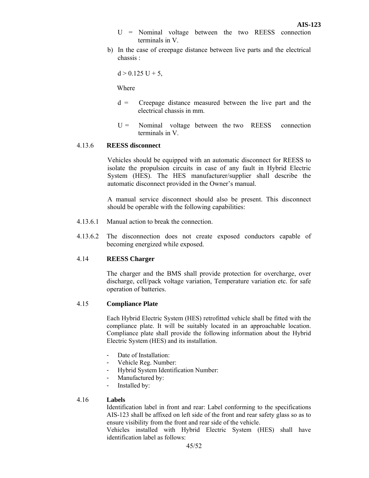- U = Nominal voltage between the two REESS connection terminals in V.
- b) In the case of creepage distance between live parts and the electrical chassis :

 $d > 0.125$  U + 5,

Where

- $d =$  Creepage distance measured between the live part and the electrical chassis in mm.
- $U =$  Nominal voltage between the two REESS connection terminals in V.

#### 4.13.6 **REESS disconnect**

Vehicles should be equipped with an automatic disconnect for REESS to isolate the propulsion circuits in case of any fault in Hybrid Electric System (HES). The HES manufacturer/supplier shall describe the automatic disconnect provided in the Owner's manual.

A manual service disconnect should also be present. This disconnect should be operable with the following capabilities:

- 4.13.6.1 Manual action to break the connection.
- 4.13.6.2 The disconnection does not create exposed conductors capable of becoming energized while exposed.

#### 4.14 **REESS Charger**

The charger and the BMS shall provide protection for overcharge, over discharge, cell/pack voltage variation, Temperature variation etc. for safe operation of batteries.

#### 4.15 **Compliance Plate**

Each Hybrid Electric System (HES) retrofitted vehicle shall be fitted with the compliance plate. It will be suitably located in an approachable location. Compliance plate shall provide the following information about the Hybrid Electric System (HES) and its installation.

- Date of Installation:
- Vehicle Reg. Number:
- Hybrid System Identification Number:
- Manufactured by:
- Installed by:

#### 4.16 **Labels**

Identification label in front and rear: Label conforming to the specifications AIS-123 shall be affixed on left side of the front and rear safety glass so as to ensure visibility from the front and rear side of the vehicle.

Vehicles installed with Hybrid Electric System (HES) shall have identification label as follows: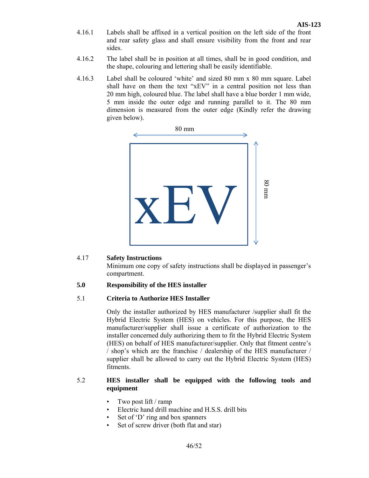- 4.16.1 Labels shall be affixed in a vertical position on the left side of the front and rear safety glass and shall ensure visibility from the front and rear sides.
- 4.16.2 The label shall be in position at all times, shall be in good condition, and the shape, colouring and lettering shall be easily identifiable.
- 4.16.3 Label shall be coloured 'white' and sized 80 mm x 80 mm square. Label shall have on them the text "xEV" in a central position not less than 20 mm high, coloured blue. The label shall have a blue border 1 mm wide, 5 mm inside the outer edge and running parallel to it. The 80 mm dimension is measured from the outer edge (Kindly refer the drawing given below).



# 4.17 **Safety Instructions**

Minimum one copy of safety instructions shall be displayed in passenger's compartment.

## **5.0 Responsibility of the HES installer**

#### 5.1 **Criteria to Authorize HES Installer**

 Only the installer authorized by HES manufacturer /supplier shall fit the Hybrid Electric System (HES) on vehicles. For this purpose, the HES manufacturer/supplier shall issue a certificate of authorization to the installer concerned duly authorizing them to fit the Hybrid Electric System (HES) on behalf of HES manufacturer/supplier. Only that fitment centre's / shop's which are the franchise / dealership of the HES manufacturer / supplier shall be allowed to carry out the Hybrid Electric System (HES) fitments.

# 5.2 **HES installer shall be equipped with the following tools and equipment**

- Two post lift / ramp
- Electric hand drill machine and H.S.S. drill bits
- Set of 'D' ring and box spanners
- Set of screw driver (both flat and star)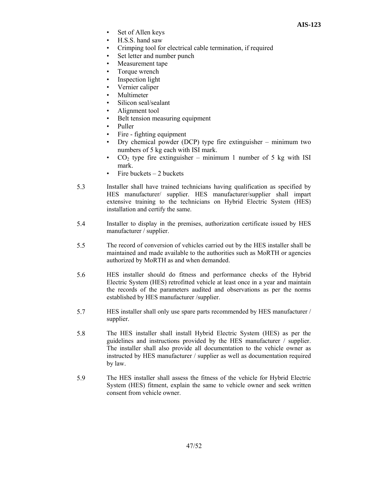- Set of Allen keys
- H.S.S. hand saw
- Crimping tool for electrical cable termination, if required
- Set letter and number punch
- Measurement tape
- Torque wrench
- Inspection light
- Vernier caliper
- **Multimeter**
- Silicon seal/sealant
- Alignment tool
- Belt tension measuring equipment
- Puller
- Fire fighting equipment
- Dry chemical powder (DCP) type fire extinguisher minimum two numbers of 5 kg each with ISI mark.
- CO<sub>2</sub> type fire extinguisher minimum 1 number of 5 kg with ISI mark.
- Fire buckets  $-2$  buckets
- 5.3 Installer shall have trained technicians having qualification as specified by HES manufacturer/ supplier. HES manufacturer/supplier shall impart extensive training to the technicians on Hybrid Electric System (HES) installation and certify the same.
- 5.4 Installer to display in the premises, authorization certificate issued by HES manufacturer / supplier.
- 5.5 The record of conversion of vehicles carried out by the HES installer shall be maintained and made available to the authorities such as MoRTH or agencies authorized by MoRTH as and when demanded.
- 5.6 HES installer should do fitness and performance checks of the Hybrid Electric System (HES) retrofitted vehicle at least once in a year and maintain the records of the parameters audited and observations as per the norms established by HES manufacturer /supplier.
- 5.7 HES installer shall only use spare parts recommended by HES manufacturer / supplier.
- 5.8 The HES installer shall install Hybrid Electric System (HES) as per the guidelines and instructions provided by the HES manufacturer / supplier. The installer shall also provide all documentation to the vehicle owner as instructed by HES manufacturer / supplier as well as documentation required by law.
- 5.9 The HES installer shall assess the fitness of the vehicle for Hybrid Electric System (HES) fitment, explain the same to vehicle owner and seek written consent from vehicle owner.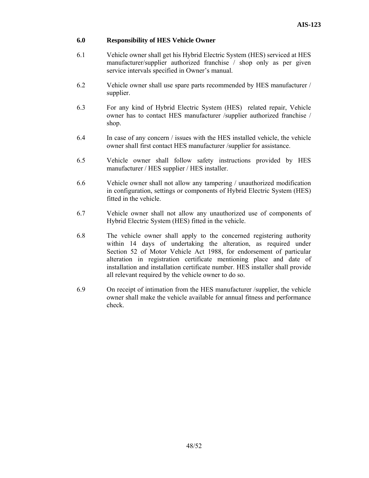# **6.0 Responsibility of HES Vehicle Owner**

- 6.1 Vehicle owner shall get his Hybrid Electric System (HES) serviced at HES manufacturer/supplier authorized franchise / shop only as per given service intervals specified in Owner's manual.
- 6.2 Vehicle owner shall use spare parts recommended by HES manufacturer / supplier.
- 6.3 For any kind of Hybrid Electric System (HES) related repair, Vehicle owner has to contact HES manufacturer /supplier authorized franchise / shop.
- 6.4 In case of any concern / issues with the HES installed vehicle, the vehicle owner shall first contact HES manufacturer /supplier for assistance.
- 6.5 Vehicle owner shall follow safety instructions provided by HES manufacturer / HES supplier / HES installer.
- 6.6 Vehicle owner shall not allow any tampering / unauthorized modification in configuration, settings or components of Hybrid Electric System (HES) fitted in the vehicle.
- 6.7 Vehicle owner shall not allow any unauthorized use of components of Hybrid Electric System (HES) fitted in the vehicle.
- 6.8 The vehicle owner shall apply to the concerned registering authority within 14 days of undertaking the alteration, as required under Section 52 of Motor Vehicle Act 1988, for endorsement of particular alteration in registration certificate mentioning place and date of installation and installation certificate number. HES installer shall provide all relevant required by the vehicle owner to do so.
- 6.9 On receipt of intimation from the HES manufacturer /supplier, the vehicle owner shall make the vehicle available for annual fitness and performance check.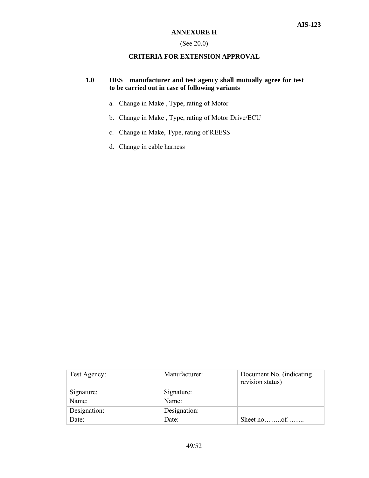### (See 20.0)

# **CRITERIA FOR EXTENSION APPROVAL**

# **1.0 HES manufacturer and test agency shall mutually agree for test to be carried out in case of following variants**

- a. Change in Make , Type, rating of Motor
- b. Change in Make , Type, rating of Motor Drive/ECU
- c. Change in Make, Type, rating of REESS
- d. Change in cable harness

| Test Agency: | Manufacturer: | Document No. (indicating<br>revision status) |
|--------------|---------------|----------------------------------------------|
| Signature:   | Signature:    |                                              |
| Name:        | Name:         |                                              |
| Designation: | Designation:  |                                              |
| Date:        | Date:         | Sheet no $\dots$ of $\dots$                  |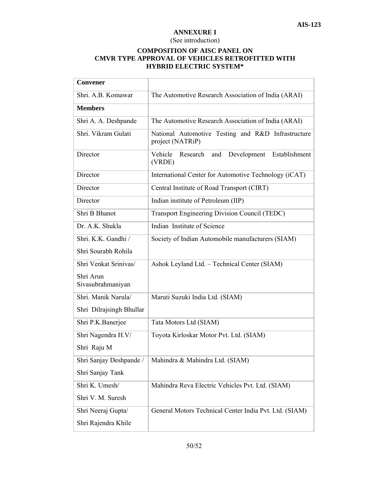### **ANNEXURE I**

# (See introduction)

# **COMPOSITION OF AISC PANEL ON CMVR TYPE APPROVAL OF VEHICLES RETROFITTED WITH HYBRID ELECTRIC SYSTEM\***

| <b>Convener</b>                |                                                                        |
|--------------------------------|------------------------------------------------------------------------|
| Shri. A.B. Komawar             | The Automotive Research Association of India (ARAI)                    |
| <b>Members</b>                 |                                                                        |
| Shri A. A. Deshpande           | The Automotive Research Association of India (ARAI)                    |
| Shri. Vikram Gulati            | National Automotive Testing and R&D Infrastructure<br>project (NATRiP) |
| Director                       | Vehicle<br>Research<br>Development<br>Establishment<br>and<br>(VRDE)   |
| Director                       | International Center for Automotive Technology (iCAT)                  |
| Director                       | Central Institute of Road Transport (CIRT)                             |
| Director                       | Indian institute of Petroleum (IIP)                                    |
| Shri B Bhanot                  | Transport Engineering Division Council (TEDC)                          |
| Dr. A.K. Shukla                | Indian Institute of Science                                            |
| Shri. K.K. Gandhi /            | Society of Indian Automobile manufacturers (SIAM)                      |
| Shri Sourabh Rohila            |                                                                        |
| Shri Venkat Srinivas/          | Ashok Leyland Ltd. - Technical Center (SIAM)                           |
| Shri Arun<br>Sivasubrahmaniyan |                                                                        |
| Shri. Manik Narula/            | Maruti Suzuki India Ltd. (SIAM)                                        |
| Shri Dilrajsingh Bhullar       |                                                                        |
| Shri P.K.Banerjee              | Tata Motors Ltd (SIAM)                                                 |
| Shri Nagendra H.V/             | Toyota Kirloskar Motor Pvt. Ltd. (SIAM)                                |
| Shri Raju M                    |                                                                        |
| Shri Sanjay Deshpande /        | Mahindra & Mahindra Ltd. (SIAM)                                        |
| Shri Sanjay Tank               |                                                                        |
| Shri K. Umesh/                 | Mahindra Reva Electric Vehicles Pvt. Ltd. (SIAM)                       |
| Shri V. M. Suresh              |                                                                        |
| Shri Neeraj Gupta/             | General Motors Technical Center India Pvt. Ltd. (SIAM)                 |
| Shri Rajendra Khile            |                                                                        |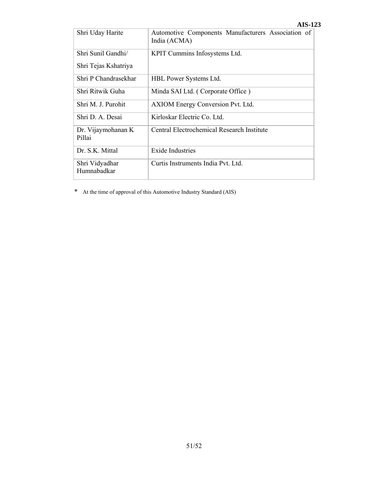|                               | AI9-14                                                             |
|-------------------------------|--------------------------------------------------------------------|
| Shri Uday Harite              | Automotive Components Manufacturers Association of<br>India (ACMA) |
| Shri Sunil Gandhi/            | KPIT Cummins Infosystems Ltd.                                      |
| Shri Tejas Kshatriya          |                                                                    |
| Shri P Chandrasekhar          | HBL Power Systems Ltd.                                             |
| Shri Ritwik Guha              | Minda SAI Ltd. (Corporate Office)                                  |
| Shri M. J. Purohit            | AXIOM Energy Conversion Pvt. Ltd.                                  |
| Shri D. A. Desai              | Kirloskar Electric Co. Ltd.                                        |
| Dr. Vijaymohanan K<br>Pillai  | Central Electrochemical Research Institute                         |
| Dr. S.K. Mittal               | Exide Industries                                                   |
| Shri Vidyadhar<br>Humnabadkar | Curtis Instruments India Pvt. Ltd.                                 |

\* At the time of approval of this Automotive Industry Standard (AIS)